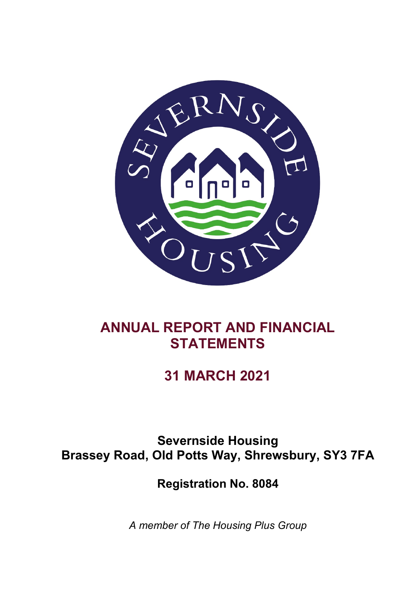

# **ANNUAL REPORT AND FINANCIAL STATEMENTS**

# **31 MARCH 2021**

**Severnside Housing Brassey Road, Old Potts Way, Shrewsbury, SY3 7FA**

**Registration No. 8084**

*A member of The Housing Plus Group*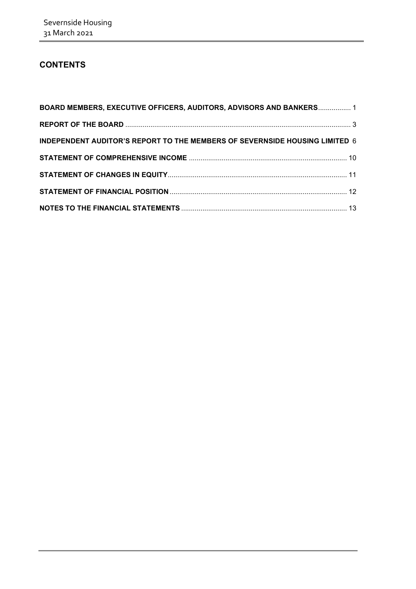## **CONTENTS**

| BOARD MEMBERS, EXECUTIVE OFFICERS, AUDITORS, ADVISORS AND BANKERS 1         |  |
|-----------------------------------------------------------------------------|--|
|                                                                             |  |
| INDEPENDENT AUDITOR'S REPORT TO THE MEMBERS OF SEVERNSIDE HOUSING LIMITED 6 |  |
|                                                                             |  |
|                                                                             |  |
|                                                                             |  |
|                                                                             |  |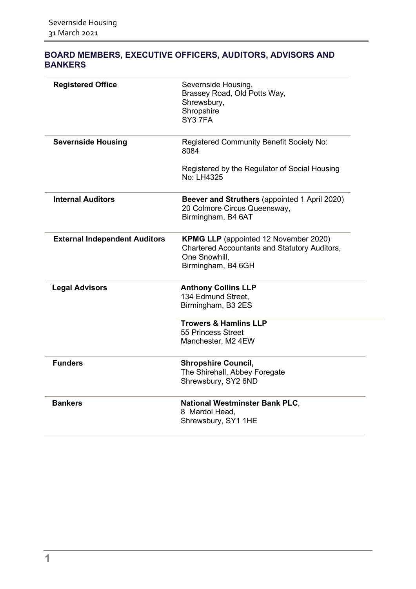| <b>Registered Office</b>             | Severnside Housing,<br>Brassey Road, Old Potts Way,<br>Shrewsbury,<br>Shropshire<br>SY37FA                                                  |
|--------------------------------------|---------------------------------------------------------------------------------------------------------------------------------------------|
|                                      |                                                                                                                                             |
| <b>Severnside Housing</b>            | Registered Community Benefit Society No:<br>8084                                                                                            |
|                                      | Registered by the Regulator of Social Housing<br>No: LH4325                                                                                 |
| <b>Internal Auditors</b>             | Beever and Struthers (appointed 1 April 2020)<br>20 Colmore Circus Queensway,<br>Birmingham, B4 6AT                                         |
| <b>External Independent Auditors</b> | <b>KPMG LLP</b> (appointed 12 November 2020)<br><b>Chartered Accountants and Statutory Auditors,</b><br>One Snowhill.<br>Birmingham, B4 6GH |
| <b>Legal Advisors</b>                | <b>Anthony Collins LLP</b>                                                                                                                  |
|                                      | 134 Edmund Street,                                                                                                                          |
|                                      | Birmingham, B3 2ES                                                                                                                          |
|                                      | <b>Trowers &amp; Hamlins LLP</b>                                                                                                            |
|                                      | 55 Princess Street                                                                                                                          |
|                                      | Manchester, M2 4EW                                                                                                                          |
| <b>Funders</b>                       | <b>Shropshire Council,</b>                                                                                                                  |
|                                      | The Shirehall, Abbey Foregate                                                                                                               |
|                                      | Shrewsbury, SY2 6ND                                                                                                                         |
| <b>Bankers</b>                       | <b>National Westminster Bank PLC,</b>                                                                                                       |
|                                      | 8 Mardol Head,                                                                                                                              |
|                                      | Shrewsbury, SY1 1HE                                                                                                                         |
|                                      |                                                                                                                                             |

## <span id="page-2-0"></span>**BOARD MEMBERS, EXECUTIVE OFFICERS, AUDITORS, ADVISORS AND BANKERS**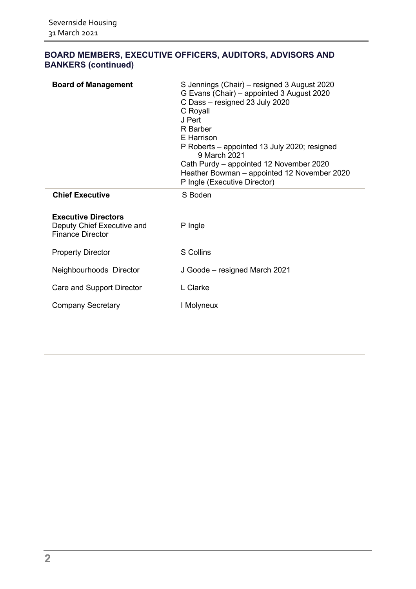| <b>Board of Management</b>                                                          | S Jennings (Chair) – resigned 3 August 2020<br>G Evans (Chair) - appointed 3 August 2020<br>C Dass - resigned 23 July 2020<br>C Royall<br>J Pert<br>R Barber<br>E Harrison<br>P Roberts – appointed 13 July 2020; resigned<br>9 March 2021<br>Cath Purdy – appointed 12 November 2020<br>Heather Bowman - appointed 12 November 2020<br>P Ingle (Executive Director) |  |  |  |  |
|-------------------------------------------------------------------------------------|----------------------------------------------------------------------------------------------------------------------------------------------------------------------------------------------------------------------------------------------------------------------------------------------------------------------------------------------------------------------|--|--|--|--|
| <b>Chief Executive</b>                                                              | S Boden                                                                                                                                                                                                                                                                                                                                                              |  |  |  |  |
| <b>Executive Directors</b><br>Deputy Chief Executive and<br><b>Finance Director</b> | P Ingle                                                                                                                                                                                                                                                                                                                                                              |  |  |  |  |
| <b>Property Director</b>                                                            | S Collins                                                                                                                                                                                                                                                                                                                                                            |  |  |  |  |
| Neighbourhoods Director                                                             | J Goode – resigned March 2021                                                                                                                                                                                                                                                                                                                                        |  |  |  |  |
| Care and Support Director                                                           | L Clarke                                                                                                                                                                                                                                                                                                                                                             |  |  |  |  |
| <b>Company Secretary</b>                                                            | I Molyneux                                                                                                                                                                                                                                                                                                                                                           |  |  |  |  |
|                                                                                     |                                                                                                                                                                                                                                                                                                                                                                      |  |  |  |  |

## **BOARD MEMBERS, EXECUTIVE OFFICERS, AUDITORS, ADVISORS AND BANKERS (continued)**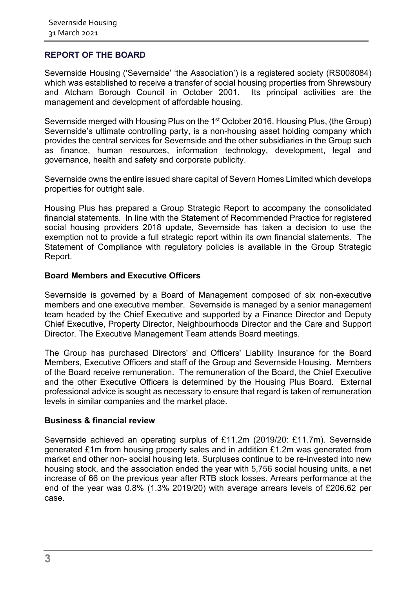#### <span id="page-4-0"></span>**REPORT OF THE BOARD**

Severnside Housing ('Severnside' 'the Association') is a registered society (RS008084) which was established to receive a transfer of social housing properties from Shrewsbury and Atcham Borough Council in October 2001. Its principal activities are the management and development of affordable housing.

Severnside merged with Housing Plus on the 1<sup>st</sup> October 2016. Housing Plus, (the Group) Severnside's ultimate controlling party, is a non-housing asset holding company which provides the central services for Severnside and the other subsidiaries in the Group such as finance, human resources, information technology, development, legal and governance, health and safety and corporate publicity.

Severnside owns the entire issued share capital of Severn Homes Limited which develops properties for outright sale.

Housing Plus has prepared a Group Strategic Report to accompany the consolidated financial statements. In line with the Statement of Recommended Practice for registered social housing providers 2018 update, Severnside has taken a decision to use the exemption not to provide a full strategic report within its own financial statements. The Statement of Compliance with regulatory policies is available in the Group Strategic Report.

#### **Board Members and Executive Officers**

Severnside is governed by a Board of Management composed of six non-executive members and one executive member. Severnside is managed by a senior management team headed by the Chief Executive and supported by a Finance Director and Deputy Chief Executive, Property Director, Neighbourhoods Director and the Care and Support Director. The Executive Management Team attends Board meetings.

The Group has purchased Directors' and Officers' Liability Insurance for the Board Members, Executive Officers and staff of the Group and Severnside Housing. Members of the Board receive remuneration. The remuneration of the Board, the Chief Executive and the other Executive Officers is determined by the Housing Plus Board. External professional advice is sought as necessary to ensure that regard is taken of remuneration levels in similar companies and the market place.

#### **Business & financial review**

Severnside achieved an operating surplus of £11.2m (2019/20: £11.7m). Severnside generated £1m from housing property sales and in addition £1.2m was generated from market and other non- social housing lets. Surpluses continue to be re-invested into new housing stock, and the association ended the year with 5,756 social housing units, a net increase of 66 on the previous year after RTB stock losses. Arrears performance at the end of the year was 0.8% (1.3% 2019/20) with average arrears levels of £206.62 per case.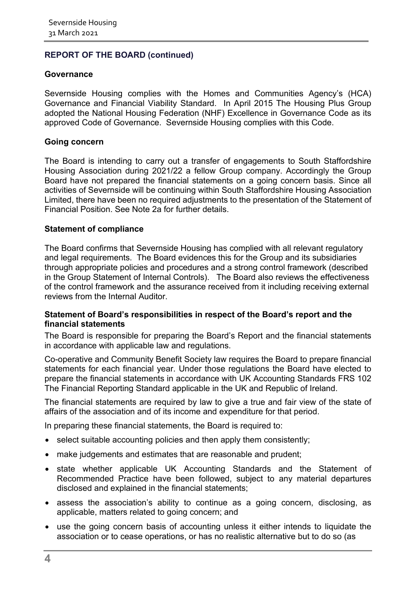## **REPORT OF THE BOARD (continued)**

#### **Governance**

Severnside Housing complies with the Homes and Communities Agency's (HCA) Governance and Financial Viability Standard. In April 2015 The Housing Plus Group adopted the National Housing Federation (NHF) Excellence in Governance Code as its approved Code of Governance. Severnside Housing complies with this Code.

#### **Going concern**

The Board is intending to carry out a transfer of engagements to South Staffordshire Housing Association during 2021/22 a fellow Group company. Accordingly the Group Board have not prepared the financial statements on a going concern basis. Since all activities of Severnside will be continuing within South Staffordshire Housing Association Limited, there have been no required adjustments to the presentation of the Statement of Financial Position. See Note 2a for further details.

#### **Statement of compliance**

The Board confirms that Severnside Housing has complied with all relevant regulatory and legal requirements. The Board evidences this for the Group and its subsidiaries through appropriate policies and procedures and a strong control framework (described in the Group Statement of Internal Controls). The Board also reviews the effectiveness of the control framework and the assurance received from it including receiving external reviews from the Internal Auditor.

#### **Statement of Board's responsibilities in respect of the Board's report and the financial statements**

The Board is responsible for preparing the Board's Report and the financial statements in accordance with applicable law and regulations.

Co-operative and Community Benefit Society law requires the Board to prepare financial statements for each financial year. Under those regulations the Board have elected to prepare the financial statements in accordance with UK Accounting Standards FRS 102 The Financial Reporting Standard applicable in the UK and Republic of Ireland.

The financial statements are required by law to give a true and fair view of the state of affairs of the association and of its income and expenditure for that period.

In preparing these financial statements, the Board is required to:

- select suitable accounting policies and then apply them consistently:
- make judgements and estimates that are reasonable and prudent;
- state whether applicable UK Accounting Standards and the Statement of Recommended Practice have been followed, subject to any material departures disclosed and explained in the financial statements;
- assess the association's ability to continue as a going concern, disclosing, as applicable, matters related to going concern; and
- use the going concern basis of accounting unless it either intends to liquidate the association or to cease operations, or has no realistic alternative but to do so (as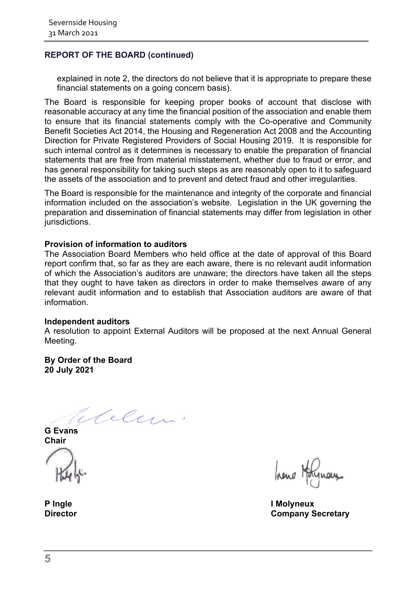## **REPORT OF THE BOARD (continued)**

explained in note 2, the directors do not believe that it is appropriate to prepare these financial statements on a going concern basis).

The Board is responsible for keeping proper books of account that disclose with reasonable accuracy at any time the financial position of the association and enable them to ensure that its financial statements comply with the Co-operative and Community Benefit Societies Act 2014, the Housing and Regeneration Act 2008 and the Accounting Direction for Private Registered Providers of Social Housing 2019. It is responsible for such internal control as it determines is necessary to enable the preparation of financial statements that are free from material misstatement, whether due to fraud or error, and has general responsibility for taking such steps as are reasonably open to it to safeguard the assets of the association and to prevent and detect fraud and other irregularities.

The Board is responsible for the maintenance and integrity of the corporate and financial information included on the association's website. Legislation in the UK governing the preparation and dissemination of financial statements may differ from legislation in other jurisdictions.

#### **Provision of information to auditors**

The Association Board Members who held office at the date of approval of this Board report confirm that, so far as they are each aware, there is no relevant audit information of which the Association's auditors are unaware; the directors have taken all the steps that they ought to have taken as directors in order to make themselves aware of any relevant audit information and to establish that Association auditors are aware of that information.

#### **Independent auditors**

A resolution to appoint External Auditors will be proposed at the next Annual General Meeting.

**By Order of the Board 20 July 2021**

Elelen!

**G Evans Chair**

hene Holynous

**P Ingle I Molyneux Director Company Secretary**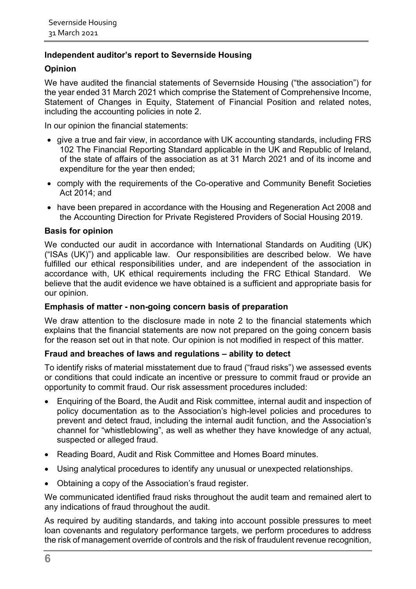## **Independent auditor's report to Severnside Housing**

## **Opinion**

We have audited the financial statements of Severnside Housing ("the association") for the year ended 31 March 2021 which comprise the Statement of Comprehensive Income, Statement of Changes in Equity, Statement of Financial Position and related notes, including the accounting policies in note 2.

In our opinion the financial statements:

- give a true and fair view, in accordance with UK accounting standards, including FRS 102 The Financial Reporting Standard applicable in the UK and Republic of Ireland, of the state of affairs of the association as at 31 March 2021 and of its income and expenditure for the year then ended;
- comply with the requirements of the Co-operative and Community Benefit Societies Act 2014; and
- have been prepared in accordance with the Housing and Regeneration Act 2008 and the Accounting Direction for Private Registered Providers of Social Housing 2019.

#### **Basis for opinion**

We conducted our audit in accordance with International Standards on Auditing (UK) ("ISAs (UK)") and applicable law. Our responsibilities are described below. We have fulfilled our ethical responsibilities under, and are independent of the association in accordance with, UK ethical requirements including the FRC Ethical Standard. We believe that the audit evidence we have obtained is a sufficient and appropriate basis for our opinion.

#### **Emphasis of matter - non-going concern basis of preparation**

We draw attention to the disclosure made in note 2 to the financial statements which explains that the financial statements are now not prepared on the going concern basis for the reason set out in that note. Our opinion is not modified in respect of this matter.

#### **Fraud and breaches of laws and regulations – ability to detect**

To identify risks of material misstatement due to fraud ("fraud risks") we assessed events or conditions that could indicate an incentive or pressure to commit fraud or provide an opportunity to commit fraud. Our risk assessment procedures included:

- Enquiring of the Board, the Audit and Risk committee, internal audit and inspection of policy documentation as to the Association's high-level policies and procedures to prevent and detect fraud, including the internal audit function, and the Association's channel for "whistleblowing", as well as whether they have knowledge of any actual, suspected or alleged fraud.
- Reading Board, Audit and Risk Committee and Homes Board minutes.
- Using analytical procedures to identify any unusual or unexpected relationships.
- Obtaining a copy of the Association's fraud register.

We communicated identified fraud risks throughout the audit team and remained alert to any indications of fraud throughout the audit.

As required by auditing standards, and taking into account possible pressures to meet loan covenants and regulatory performance targets, we perform procedures to address the risk of management override of controls and the risk of fraudulent revenue recognition,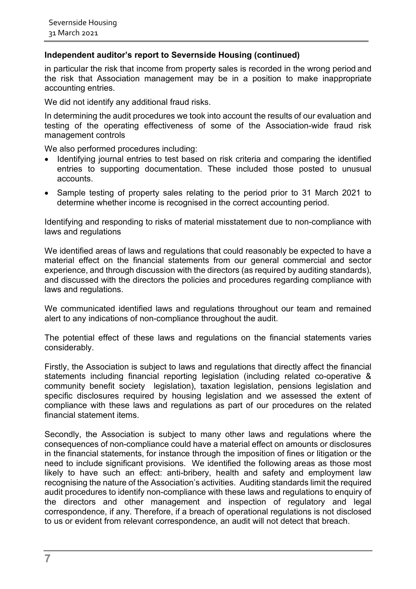#### **Independent auditor's report to Severnside Housing (continued)**

in particular the risk that income from property sales is recorded in the wrong period and the risk that Association management may be in a position to make inappropriate accounting entries.

We did not identify any additional fraud risks.

In determining the audit procedures we took into account the results of our evaluation and testing of the operating effectiveness of some of the Association-wide fraud risk management controls

We also performed procedures including:

- Identifying journal entries to test based on risk criteria and comparing the identified entries to supporting documentation. These included those posted to unusual accounts.
- Sample testing of property sales relating to the period prior to 31 March 2021 to determine whether income is recognised in the correct accounting period.

Identifying and responding to risks of material misstatement due to non-compliance with laws and regulations

We identified areas of laws and regulations that could reasonably be expected to have a material effect on the financial statements from our general commercial and sector experience, and through discussion with the directors (as required by auditing standards), and discussed with the directors the policies and procedures regarding compliance with laws and regulations.

We communicated identified laws and regulations throughout our team and remained alert to any indications of non-compliance throughout the audit.

The potential effect of these laws and regulations on the financial statements varies considerably.

Firstly, the Association is subject to laws and regulations that directly affect the financial statements including financial reporting legislation (including related co-operative & community benefit society legislation), taxation legislation, pensions legislation and specific disclosures required by housing legislation and we assessed the extent of compliance with these laws and regulations as part of our procedures on the related financial statement items.

Secondly, the Association is subject to many other laws and regulations where the consequences of non-compliance could have a material effect on amounts or disclosures in the financial statements, for instance through the imposition of fines or litigation or the need to include significant provisions. We identified the following areas as those most likely to have such an effect: anti-bribery, health and safety and employment law recognising the nature of the Association's activities. Auditing standards limit the required audit procedures to identify non-compliance with these laws and regulations to enquiry of the directors and other management and inspection of regulatory and legal correspondence, if any. Therefore, if a breach of operational regulations is not disclosed to us or evident from relevant correspondence, an audit will not detect that breach.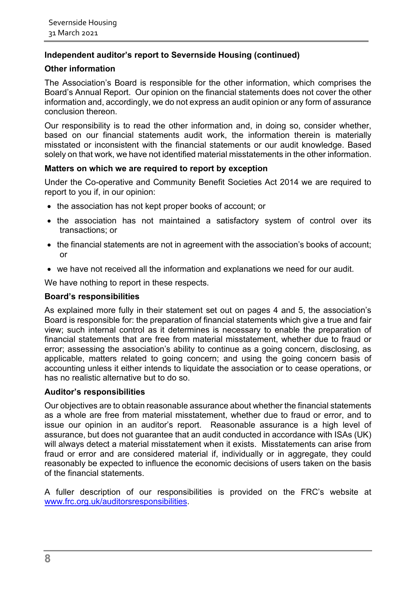## **Independent auditor's report to Severnside Housing (continued)**

#### **Other information**

The Association's Board is responsible for the other information, which comprises the Board's Annual Report. Our opinion on the financial statements does not cover the other information and, accordingly, we do not express an audit opinion or any form of assurance conclusion thereon.

Our responsibility is to read the other information and, in doing so, consider whether, based on our financial statements audit work, the information therein is materially misstated or inconsistent with the financial statements or our audit knowledge. Based solely on that work, we have not identified material misstatements in the other information.

#### **Matters on which we are required to report by exception**

Under the Co-operative and Community Benefit Societies Act 2014 we are required to report to you if, in our opinion:

- the association has not kept proper books of account; or
- the association has not maintained a satisfactory system of control over its transactions; or
- the financial statements are not in agreement with the association's books of account; or
- we have not received all the information and explanations we need for our audit.

We have nothing to report in these respects.

#### **Board's responsibilities**

As explained more fully in their statement set out on pages 4 and 5, the association's Board is responsible for: the preparation of financial statements which give a true and fair view; such internal control as it determines is necessary to enable the preparation of financial statements that are free from material misstatement, whether due to fraud or error; assessing the association's ability to continue as a going concern, disclosing, as applicable, matters related to going concern; and using the going concern basis of accounting unless it either intends to liquidate the association or to cease operations, or has no realistic alternative but to do so.

#### **Auditor's responsibilities**

Our objectives are to obtain reasonable assurance about whether the financial statements as a whole are free from material misstatement, whether due to fraud or error, and to issue our opinion in an auditor's report. Reasonable assurance is a high level of assurance, but does not guarantee that an audit conducted in accordance with ISAs (UK) will always detect a material misstatement when it exists. Misstatements can arise from fraud or error and are considered material if, individually or in aggregate, they could reasonably be expected to influence the economic decisions of users taken on the basis of the financial statements.

A fuller description of our responsibilities is provided on the FRC's website at [www.frc.org.uk/auditorsresponsibilities.](http://www.frc.org.uk/auditorsresponsibilities)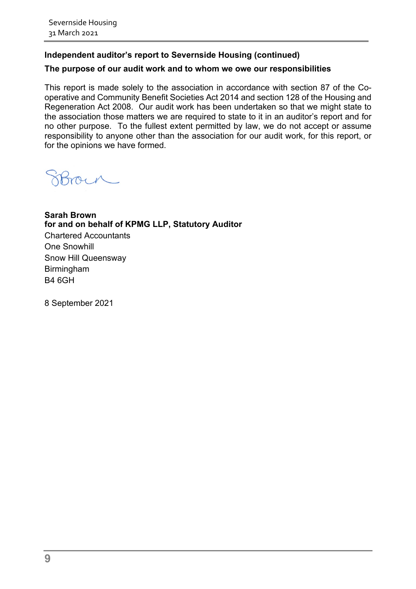## **Independent auditor's report to Severnside Housing (continued)**

#### **The purpose of our audit work and to whom we owe our responsibilities**

This report is made solely to the association in accordance with section 87 of the Cooperative and Community Benefit Societies Act 2014 and section 128 of the Housing and Regeneration Act 2008. Our audit work has been undertaken so that we might state to the association those matters we are required to state to it in an auditor's report and for no other purpose. To the fullest extent permitted by law, we do not accept or assume responsibility to anyone other than the association for our audit work, for this report, or for the opinions we have formed.

morn

**Sarah Brown for and on behalf of KPMG LLP, Statutory Auditor** 

Chartered Accountants One Snowhill Snow Hill Queensway Birmingham B4 6GH

8 September 2021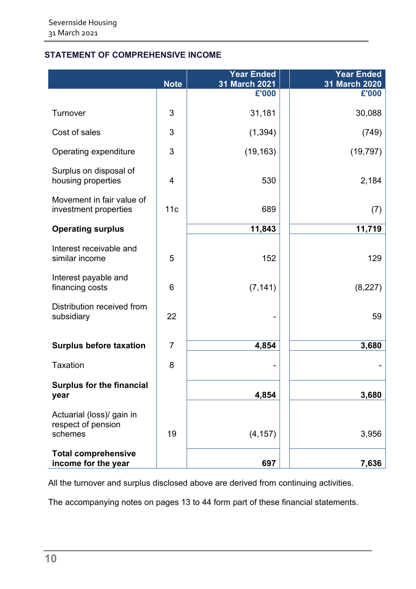## <span id="page-11-0"></span>**STATEMENT OF COMPREHENSIVE INCOME**

|                                                            | <b>Note</b>             | <b>Year Ended</b><br>31 March 2021 | <b>Year Ended</b><br>31 March 2020 |
|------------------------------------------------------------|-------------------------|------------------------------------|------------------------------------|
|                                                            |                         | £'000                              | £'000                              |
| Turnover                                                   | 3                       | 31,181                             | 30,088                             |
| Cost of sales                                              | 3                       | (1, 394)                           | (749)                              |
| Operating expenditure                                      | 3                       | (19, 163)                          | (19, 797)                          |
| Surplus on disposal of<br>housing properties               | $\overline{\mathbf{4}}$ | 530                                | 2,184                              |
| Movement in fair value of<br>investment properties         | 11c                     | 689                                | (7)                                |
| <b>Operating surplus</b>                                   |                         | 11,843                             | 11,719                             |
| Interest receivable and<br>similar income                  | 5                       | 152                                | 129                                |
| Interest payable and<br>financing costs                    | 6                       | (7, 141)                           | (8, 227)                           |
| Distribution received from<br>subsidiary                   | 22                      |                                    | 59                                 |
| <b>Surplus before taxation</b>                             | $\overline{7}$          | 4,854                              | 3,680                              |
| <b>Taxation</b>                                            | 8                       |                                    |                                    |
| <b>Surplus for the financial</b><br>year                   |                         | 4,854                              | 3,680                              |
|                                                            |                         |                                    |                                    |
| Actuarial (loss)/ gain in<br>respect of pension<br>schemes | 19                      | (4, 157)                           | 3,956                              |
| <b>Total comprehensive</b>                                 |                         |                                    |                                    |
| income for the year                                        |                         | 697                                | 7,636                              |

All the turnover and surplus disclosed above are derived from continuing activities.

<span id="page-11-1"></span>The accompanying notes on pages 13 to 44 form part of these financial statements.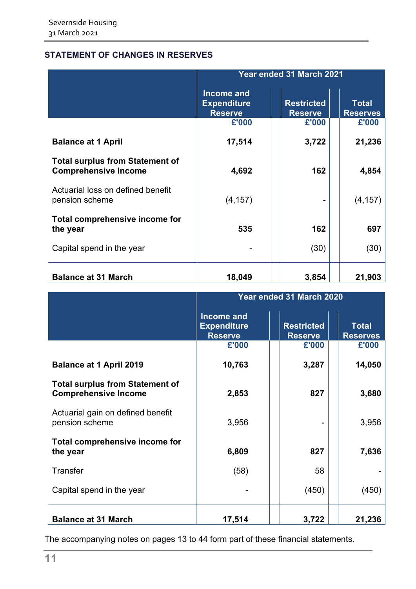## **STATEMENT OF CHANGES IN RESERVES**

|                                                                       |                                                           | <b>Year ended 31 March 2021</b>     |                                 |
|-----------------------------------------------------------------------|-----------------------------------------------------------|-------------------------------------|---------------------------------|
|                                                                       | <b>Income and</b><br><b>Expenditure</b><br><b>Reserve</b> | <b>Restricted</b><br><b>Reserve</b> | <b>Total</b><br><b>Reserves</b> |
|                                                                       | £'000                                                     | £'000                               | £'000                           |
| <b>Balance at 1 April</b>                                             | 17,514                                                    | 3,722                               | 21,236                          |
| <b>Total surplus from Statement of</b><br><b>Comprehensive Income</b> | 4,692                                                     | 162                                 | 4,854                           |
| Actuarial loss on defined benefit<br>pension scheme                   | (4, 157)                                                  |                                     | (4, 157)                        |
| Total comprehensive income for<br>the year                            | 535                                                       | 162                                 | 697                             |
| Capital spend in the year                                             |                                                           | (30)                                | (30)                            |
| <b>Balance at 31 March</b>                                            | 18,049                                                    | 3,854                               | 21,903                          |

|                                                                       |                                                           | Year ended 31 March 2020            |                                 |  |  |  |  |
|-----------------------------------------------------------------------|-----------------------------------------------------------|-------------------------------------|---------------------------------|--|--|--|--|
|                                                                       | <b>Income and</b><br><b>Expenditure</b><br><b>Reserve</b> | <b>Restricted</b><br><b>Reserve</b> | <b>Total</b><br><b>Reserves</b> |  |  |  |  |
|                                                                       | £'000                                                     | £'000                               | £'000                           |  |  |  |  |
| <b>Balance at 1 April 2019</b>                                        | 10,763                                                    | 3,287                               | 14,050                          |  |  |  |  |
| <b>Total surplus from Statement of</b><br><b>Comprehensive Income</b> | 2,853                                                     | 827                                 | 3,680                           |  |  |  |  |
| Actuarial gain on defined benefit<br>pension scheme                   | 3,956                                                     |                                     | 3,956                           |  |  |  |  |
| Total comprehensive income for<br>the year                            | 6,809                                                     | 827                                 | 7,636                           |  |  |  |  |
| <b>Transfer</b>                                                       | (58)                                                      | 58                                  |                                 |  |  |  |  |
| Capital spend in the year                                             |                                                           | (450)                               | (450)                           |  |  |  |  |
| <b>Balance at 31 March</b>                                            | 17,514                                                    | 3,722                               | 21,236                          |  |  |  |  |

<span id="page-12-0"></span>The accompanying notes on pages 13 to 44 form part of these financial statements.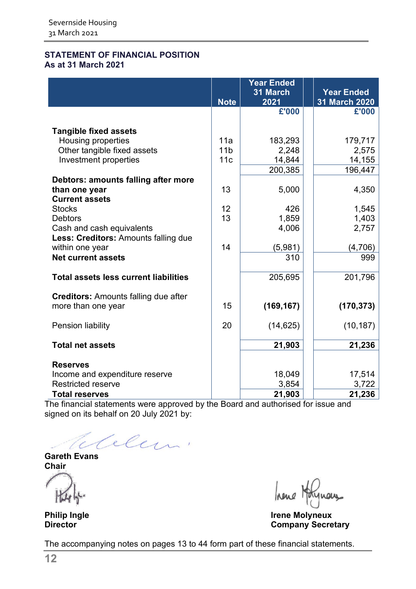#### **STATEMENT OF FINANCIAL POSITION As at 31 March 2021**

|                                              | <b>Note</b>     | <b>Year Ended</b><br>31 March<br>2021 | <b>Year Ended</b><br>31 March 2020 |
|----------------------------------------------|-----------------|---------------------------------------|------------------------------------|
|                                              |                 | £'000                                 | £'000                              |
|                                              |                 |                                       |                                    |
| <b>Tangible fixed assets</b>                 |                 |                                       |                                    |
| Housing properties                           | 11a             | 183,293                               | 179,717                            |
| Other tangible fixed assets                  | 11 <sub>b</sub> | 2,248                                 | 2,575                              |
| Investment properties                        | 11c             | 14,844                                | 14,155                             |
|                                              |                 | 200,385                               | 196,447                            |
| Debtors: amounts falling after more          |                 |                                       |                                    |
| than one year                                | 13              | 5,000                                 | 4,350                              |
| <b>Current assets</b>                        |                 |                                       |                                    |
| <b>Stocks</b>                                | 12              | 426                                   | 1,545                              |
| <b>Debtors</b>                               | 13              | 1,859                                 | 1,403                              |
| Cash and cash equivalents                    |                 | 4,006                                 | 2,757                              |
| Less: Creditors: Amounts falling due         |                 |                                       |                                    |
| within one year                              | 14              | (5,981)                               | (4,706)                            |
| <b>Net current assets</b>                    |                 | 310                                   | 999                                |
| <b>Total assets less current liabilities</b> |                 | 205,695                               | 201,796                            |
| <b>Creditors:</b> Amounts falling due after  |                 |                                       |                                    |
| more than one year                           | 15              | (169, 167)                            | (170, 373)                         |
| Pension liability                            | 20              | (14, 625)                             | (10, 187)                          |
| <b>Total net assets</b>                      |                 | 21,903                                | 21,236                             |
| <b>Reserves</b>                              |                 |                                       |                                    |
| Income and expenditure reserve               |                 | 18,049                                | 17,514                             |
| <b>Restricted reserve</b>                    |                 | 3,854                                 | 3,722                              |
| <b>Total reserves</b>                        |                 | 21,903                                | 21,236                             |

The financial statements were approved by the Board and authorised for issue and signed on its behalf on 20 July 2021 by:

Celem.

**Gareth Evans Chair**

hene Holynous

**Philip Ingle Irene Molyneux Company Secretary** 

The accompanying notes on pages 13 to 44 form part of these financial statements.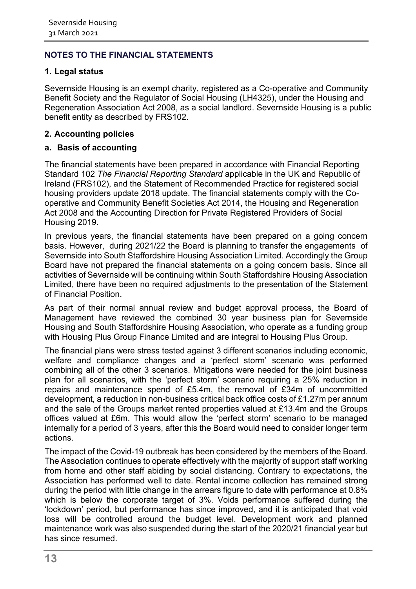#### <span id="page-14-0"></span>**1. Legal status**

Severnside Housing is an exempt charity, registered as a Co-operative and Community Benefit Society and the Regulator of Social Housing (LH4325), under the Housing and Regeneration Association Act 2008, as a social landlord. Severnside Housing is a public benefit entity as described by FRS102.

## **2. Accounting policies**

#### **a. Basis of accounting**

The financial statements have been prepared in accordance with Financial Reporting Standard 102 *The Financial Reporting Standard* applicable in the UK and Republic of Ireland (FRS102), and the Statement of Recommended Practice for registered social housing providers update 2018 update. The financial statements comply with the Cooperative and Community Benefit Societies Act 2014, the Housing and Regeneration Act 2008 and the Accounting Direction for Private Registered Providers of Social Housing 2019.

In previous years, the financial statements have been prepared on a going concern basis. However, during 2021/22 the Board is planning to transfer the engagements of Severnside into South Staffordshire Housing Association Limited. Accordingly the Group Board have not prepared the financial statements on a going concern basis. Since all activities of Severnside will be continuing within South Staffordshire Housing Association Limited, there have been no required adjustments to the presentation of the Statement of Financial Position.

As part of their normal annual review and budget approval process, the Board of Management have reviewed the combined 30 year business plan for Severnside Housing and South Staffordshire Housing Association, who operate as a funding group with Housing Plus Group Finance Limited and are integral to Housing Plus Group.

The financial plans were stress tested against 3 different scenarios including economic, welfare and compliance changes and a 'perfect storm' scenario was performed combining all of the other 3 scenarios. Mitigations were needed for the joint business plan for all scenarios, with the 'perfect storm' scenario requiring a 25% reduction in repairs and maintenance spend of £5.4m, the removal of £34m of uncommitted development, a reduction in non-business critical back office costs of £1.27m per annum and the sale of the Groups market rented properties valued at £13.4m and the Groups offices valued at £6m. This would allow the 'perfect storm' scenario to be managed internally for a period of 3 years, after this the Board would need to consider longer term actions.

The impact of the Covid-19 outbreak has been considered by the members of the Board. The Association continues to operate effectively with the majority of support staff working from home and other staff abiding by social distancing. Contrary to expectations, the Association has performed well to date. Rental income collection has remained strong during the period with little change in the arrears figure to date with performance at 0.8% which is below the corporate target of 3%. Voids performance suffered during the 'lockdown' period, but performance has since improved, and it is anticipated that void loss will be controlled around the budget level. Development work and planned maintenance work was also suspended during the start of the 2020/21 financial year but has since resumed.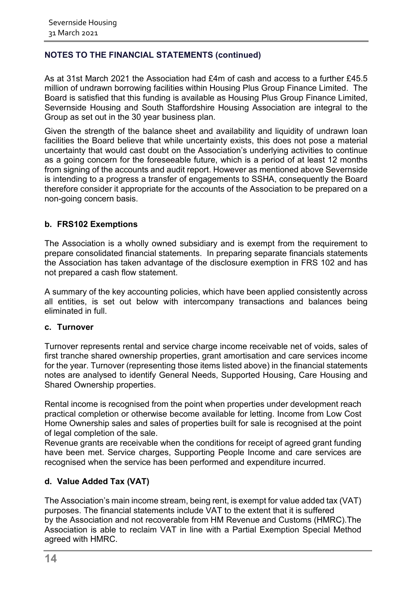As at 31st March 2021 the Association had £4m of cash and access to a further £45.5 million of undrawn borrowing facilities within Housing Plus Group Finance Limited. The Board is satisfied that this funding is available as Housing Plus Group Finance Limited, Severnside Housing and South Staffordshire Housing Association are integral to the Group as set out in the 30 year business plan.

Given the strength of the balance sheet and availability and liquidity of undrawn loan facilities the Board believe that while uncertainty exists, this does not pose a material uncertainty that would cast doubt on the Association's underlying activities to continue as a going concern for the foreseeable future, which is a period of at least 12 months from signing of the accounts and audit report. However as mentioned above Severnside is intending to a progress a transfer of engagements to SSHA, consequently the Board therefore consider it appropriate for the accounts of the Association to be prepared on a non-going concern basis.

#### **b. FRS102 Exemptions**

The Association is a wholly owned subsidiary and is exempt from the requirement to prepare consolidated financial statements. In preparing separate financials statements the Association has taken advantage of the disclosure exemption in FRS 102 and has not prepared a cash flow statement.

A summary of the key accounting policies, which have been applied consistently across all entities, is set out below with intercompany transactions and balances being eliminated in full.

#### **c. Turnover**

Turnover represents rental and service charge income receivable net of voids, sales of first tranche shared ownership properties, grant amortisation and care services income for the year. Turnover (representing those items listed above) in the financial statements notes are analysed to identify General Needs, Supported Housing, Care Housing and Shared Ownership properties.

Rental income is recognised from the point when properties under development reach practical completion or otherwise become available for letting. Income from Low Cost Home Ownership sales and sales of properties built for sale is recognised at the point of legal completion of the sale.

Revenue grants are receivable when the conditions for receipt of agreed grant funding have been met. Service charges, Supporting People Income and care services are recognised when the service has been performed and expenditure incurred.

#### **d. Value Added Tax (VAT)**

The Association's main income stream, being rent, is exempt for value added tax (VAT) purposes. The financial statements include VAT to the extent that it is suffered by the Association and not recoverable from HM Revenue and Customs (HMRC).The Association is able to reclaim VAT in line with a Partial Exemption Special Method agreed with HMRC.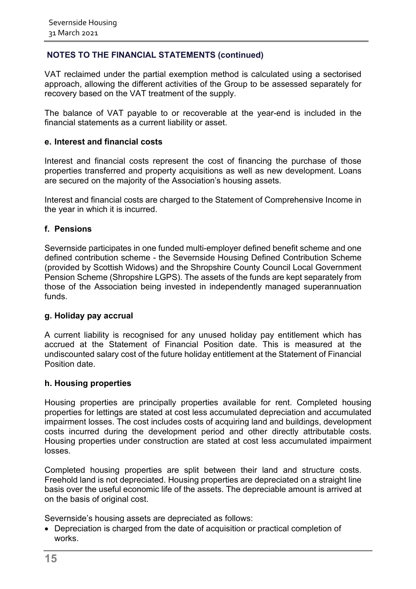VAT reclaimed under the partial exemption method is calculated using a sectorised approach, allowing the different activities of the Group to be assessed separately for recovery based on the VAT treatment of the supply.

The balance of VAT payable to or recoverable at the year-end is included in the financial statements as a current liability or asset.

#### **e. Interest and financial costs**

Interest and financial costs represent the cost of financing the purchase of those properties transferred and property acquisitions as well as new development. Loans are secured on the majority of the Association's housing assets.

Interest and financial costs are charged to the Statement of Comprehensive Income in the year in which it is incurred.

#### **f. Pensions**

Severnside participates in one funded multi-employer defined benefit scheme and one defined contribution scheme - the Severnside Housing Defined Contribution Scheme (provided by Scottish Widows) and the Shropshire County Council Local Government Pension Scheme (Shropshire LGPS). The assets of the funds are kept separately from those of the Association being invested in independently managed superannuation funds.

#### **g. Holiday pay accrual**

A current liability is recognised for any unused holiday pay entitlement which has accrued at the Statement of Financial Position date. This is measured at the undiscounted salary cost of the future holiday entitlement at the Statement of Financial Position date.

#### **h. Housing properties**

Housing properties are principally properties available for rent. Completed housing properties for lettings are stated at cost less accumulated depreciation and accumulated impairment losses. The cost includes costs of acquiring land and buildings, development costs incurred during the development period and other directly attributable costs. Housing properties under construction are stated at cost less accumulated impairment losses.

Completed housing properties are split between their land and structure costs. Freehold land is not depreciated. Housing properties are depreciated on a straight line basis over the useful economic life of the assets. The depreciable amount is arrived at on the basis of original cost.

Severnside's housing assets are depreciated as follows:

• Depreciation is charged from the date of acquisition or practical completion of works.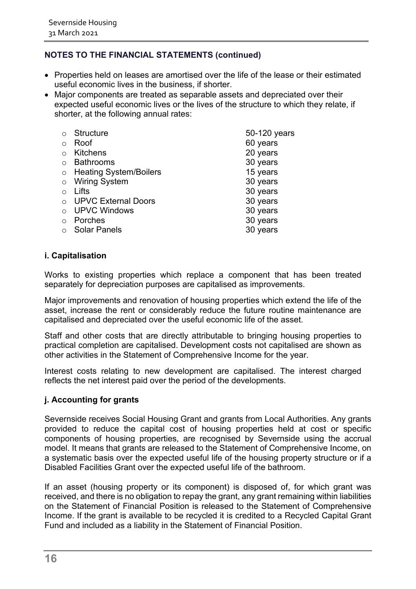- Properties held on leases are amortised over the life of the lease or their estimated useful economic lives in the business, if shorter.
- Major components are treated as separable assets and depreciated over their expected useful economic lives or the lives of the structure to which they relate, if shorter, at the following annual rates:

|            | <b>Structure</b>              | 50-120 years |
|------------|-------------------------------|--------------|
| $\circ$    | Roof                          | 60 years     |
|            | <b>Kitchens</b>               | 20 years     |
|            | <b>Bathrooms</b>              | 30 years     |
| $\circ$    | <b>Heating System/Boilers</b> | 15 years     |
| $\circ$    | <b>Wiring System</b>          | 30 years     |
| $\bigcap$  | Lifts                         | 30 years     |
|            | <b>UPVC External Doors</b>    | 30 years     |
| $\bigcirc$ | <b>UPVC Windows</b>           | 30 years     |
| $\bigcap$  | Porches                       | 30 years     |
|            | <b>Solar Panels</b>           | 30 years     |
|            |                               |              |

#### **i. Capitalisation**

Works to existing properties which replace a component that has been treated separately for depreciation purposes are capitalised as improvements.

Major improvements and renovation of housing properties which extend the life of the asset, increase the rent or considerably reduce the future routine maintenance are capitalised and depreciated over the useful economic life of the asset.

Staff and other costs that are directly attributable to bringing housing properties to practical completion are capitalised. Development costs not capitalised are shown as other activities in the Statement of Comprehensive Income for the year.

Interest costs relating to new development are capitalised. The interest charged reflects the net interest paid over the period of the developments.

#### **j. Accounting for grants**

Severnside receives Social Housing Grant and grants from Local Authorities. Any grants provided to reduce the capital cost of housing properties held at cost or specific components of housing properties, are recognised by Severnside using the accrual model. It means that grants are released to the Statement of Comprehensive Income, on a systematic basis over the expected useful life of the housing property structure or if a Disabled Facilities Grant over the expected useful life of the bathroom.

If an asset (housing property or its component) is disposed of, for which grant was received, and there is no obligation to repay the grant, any grant remaining within liabilities on the Statement of Financial Position is released to the Statement of Comprehensive Income. If the grant is available to be recycled it is credited to a Recycled Capital Grant Fund and included as a liability in the Statement of Financial Position.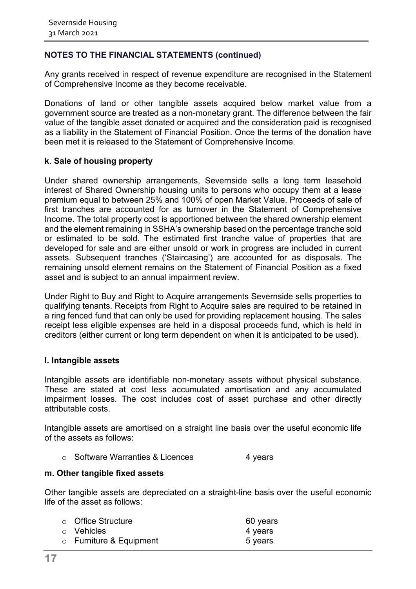Any grants received in respect of revenue expenditure are recognised in the Statement of Comprehensive Income as they become receivable.

Donations of land or other tangible assets acquired below market value from a government source are treated as a non-monetary grant. The difference between the fair value of the tangible asset donated or acquired and the consideration paid is recognised as a liability in the Statement of Financial Position. Once the terms of the donation have been met it is released to the Statement of Comprehensive Income.

#### **k**. **Sale of housing property**

Under shared ownership arrangements, Severnside sells a long term leasehold interest of Shared Ownership housing units to persons who occupy them at a lease premium equal to between 25% and 100% of open Market Value. Proceeds of sale of first tranches are accounted for as turnover in the Statement of Comprehensive Income. The total property cost is apportioned between the shared ownership element and the element remaining in SSHA's ownership based on the percentage tranche sold or estimated to be sold. The estimated first tranche value of properties that are developed for sale and are either unsold or work in progress are included in current assets. Subsequent tranches ('Staircasing') are accounted for as disposals. The remaining unsold element remains on the Statement of Financial Position as a fixed asset and is subject to an annual impairment review.

Under Right to Buy and Right to Acquire arrangements Severnside sells properties to qualifying tenants. Receipts from Right to Acquire sales are required to be retained in a ring fenced fund that can only be used for providing replacement housing. The sales receipt less eligible expenses are held in a disposal proceeds fund, which is held in creditors (either current or long term dependent on when it is anticipated to be used).

#### **l. Intangible assets**

Intangible assets are identifiable non-monetary assets without physical substance. These are stated at cost less accumulated amortisation and any accumulated impairment losses. The cost includes cost of asset purchase and other directly attributable costs.

Intangible assets are amortised on a straight line basis over the useful economic life of the assets as follows:

o Software Warranties & Licences 4 years

#### **m. Other tangible fixed assets**

Other tangible assets are depreciated on a straight-line basis over the useful economic life of the asset as follows:

| $\circ$ Office Structure      | 60 years |
|-------------------------------|----------|
| $\circ$ Vehicles              | 4 years  |
| $\circ$ Furniture & Equipment | 5 years  |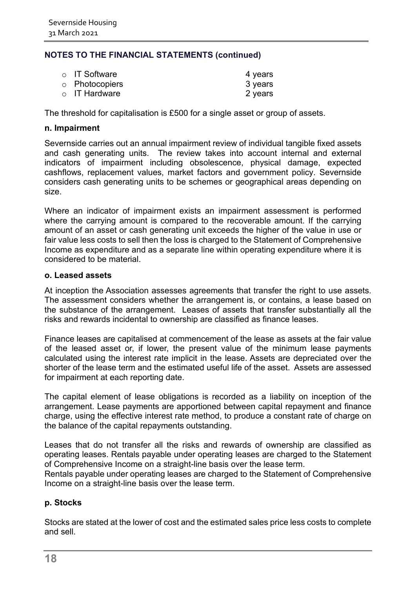| $\circ$ IT Software | 4 years |
|---------------------|---------|
| o Photocopiers      | 3 years |
| $\circ$ IT Hardware | 2 years |

The threshold for capitalisation is £500 for a single asset or group of assets.

#### **n. Impairment**

Severnside carries out an annual impairment review of individual tangible fixed assets and cash generating units. The review takes into account internal and external indicators of impairment including obsolescence, physical damage, expected cashflows, replacement values, market factors and government policy. Severnside considers cash generating units to be schemes or geographical areas depending on size.

Where an indicator of impairment exists an impairment assessment is performed where the carrying amount is compared to the recoverable amount. If the carrying amount of an asset or cash generating unit exceeds the higher of the value in use or fair value less costs to sell then the loss is charged to the Statement of Comprehensive Income as expenditure and as a separate line within operating expenditure where it is considered to be material.

#### **o. Leased assets**

At inception the Association assesses agreements that transfer the right to use assets. The assessment considers whether the arrangement is, or contains, a lease based on the substance of the arrangement. Leases of assets that transfer substantially all the risks and rewards incidental to ownership are classified as finance leases.

Finance leases are capitalised at commencement of the lease as assets at the fair value of the leased asset or, if lower, the present value of the minimum lease payments calculated using the interest rate implicit in the lease. Assets are depreciated over the shorter of the lease term and the estimated useful life of the asset. Assets are assessed for impairment at each reporting date.

The capital element of lease obligations is recorded as a liability on inception of the arrangement. Lease payments are apportioned between capital repayment and finance charge, using the effective interest rate method, to produce a constant rate of charge on the balance of the capital repayments outstanding.

Leases that do not transfer all the risks and rewards of ownership are classified as operating leases. Rentals payable under operating leases are charged to the Statement of Comprehensive Income on a straight-line basis over the lease term.

Rentals payable under operating leases are charged to the Statement of Comprehensive Income on a straight-line basis over the lease term.

#### **p. Stocks**

Stocks are stated at the lower of cost and the estimated sales price less costs to complete and sell.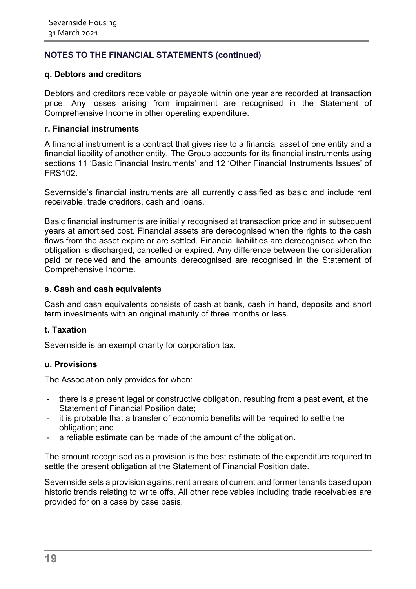#### **q. Debtors and creditors**

Debtors and creditors receivable or payable within one year are recorded at transaction price. Any losses arising from impairment are recognised in the Statement of Comprehensive Income in other operating expenditure.

#### **r. Financial instruments**

A financial instrument is a contract that gives rise to a financial asset of one entity and a financial liability of another entity. The Group accounts for its financial instruments using sections 11 'Basic Financial Instruments' and 12 'Other Financial Instruments Issues' of FRS102.

Severnside's financial instruments are all currently classified as basic and include rent receivable, trade creditors, cash and loans.

Basic financial instruments are initially recognised at transaction price and in subsequent years at amortised cost. Financial assets are derecognised when the rights to the cash flows from the asset expire or are settled. Financial liabilities are derecognised when the obligation is discharged, cancelled or expired. Any difference between the consideration paid or received and the amounts derecognised are recognised in the Statement of Comprehensive Income.

#### **s. Cash and cash equivalents**

Cash and cash equivalents consists of cash at bank, cash in hand, deposits and short term investments with an original maturity of three months or less.

#### **t. Taxation**

Severnside is an exempt charity for corporation tax.

#### **u. Provisions**

The Association only provides for when:

- there is a present legal or constructive obligation, resulting from a past event, at the Statement of Financial Position date;
- it is probable that a transfer of economic benefits will be required to settle the obligation; and
- a reliable estimate can be made of the amount of the obligation.

The amount recognised as a provision is the best estimate of the expenditure required to settle the present obligation at the Statement of Financial Position date.

Severnside sets a provision against rent arrears of current and former tenants based upon historic trends relating to write offs. All other receivables including trade receivables are provided for on a case by case basis.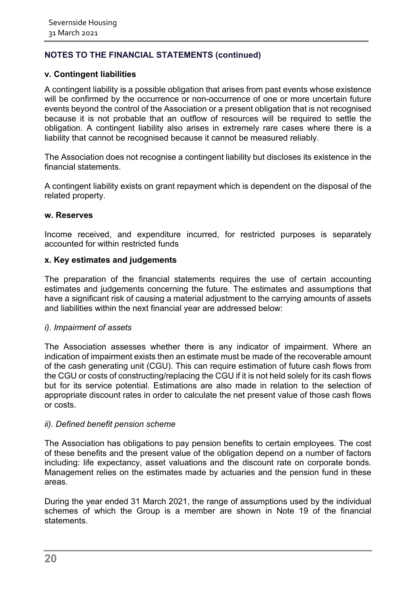#### **v. Contingent liabilities**

A contingent liability is a possible obligation that arises from past events whose existence will be confirmed by the occurrence or non-occurrence of one or more uncertain future events beyond the control of the Association or a present obligation that is not recognised because it is not probable that an outflow of resources will be required to settle the obligation. A contingent liability also arises in extremely rare cases where there is a liability that cannot be recognised because it cannot be measured reliably.

The Association does not recognise a contingent liability but discloses its existence in the financial statements.

A contingent liability exists on grant repayment which is dependent on the disposal of the related property.

#### **w. Reserves**

Income received, and expenditure incurred, for restricted purposes is separately accounted for within restricted funds

#### **x. Key estimates and judgements**

The preparation of the financial statements requires the use of certain accounting estimates and judgements concerning the future. The estimates and assumptions that have a significant risk of causing a material adjustment to the carrying amounts of assets and liabilities within the next financial year are addressed below:

#### *i). Impairment of assets*

The Association assesses whether there is any indicator of impairment. Where an indication of impairment exists then an estimate must be made of the recoverable amount of the cash generating unit (CGU). This can require estimation of future cash flows from the CGU or costs of constructing/replacing the CGU if it is not held solely for its cash flows but for its service potential. Estimations are also made in relation to the selection of appropriate discount rates in order to calculate the net present value of those cash flows or costs.

#### *ii). Defined benefit pension scheme*

The Association has obligations to pay pension benefits to certain employees. The cost of these benefits and the present value of the obligation depend on a number of factors including: life expectancy, asset valuations and the discount rate on corporate bonds. Management relies on the estimates made by actuaries and the pension fund in these areas.

During the year ended 31 March 2021, the range of assumptions used by the individual schemes of which the Group is a member are shown in Note 19 of the financial statements.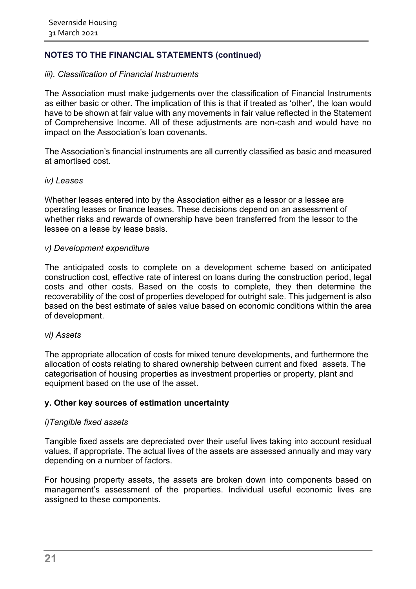#### *iii). Classification of Financial Instruments*

The Association must make judgements over the classification of Financial Instruments as either basic or other. The implication of this is that if treated as 'other', the loan would have to be shown at fair value with any movements in fair value reflected in the Statement of Comprehensive Income. All of these adjustments are non-cash and would have no impact on the Association's loan covenants.

The Association's financial instruments are all currently classified as basic and measured at amortised cost.

#### *iv) Leases*

Whether leases entered into by the Association either as a lessor or a lessee are operating leases or finance leases. These decisions depend on an assessment of whether risks and rewards of ownership have been transferred from the lessor to the lessee on a lease by lease basis.

#### *v) Development expenditure*

The anticipated costs to complete on a development scheme based on anticipated construction cost, effective rate of interest on loans during the construction period, legal costs and other costs. Based on the costs to complete, they then determine the recoverability of the cost of properties developed for outright sale. This judgement is also based on the best estimate of sales value based on economic conditions within the area of development.

#### *vi) Assets*

The appropriate allocation of costs for mixed tenure developments, and furthermore the allocation of costs relating to shared ownership between current and fixed assets. The categorisation of housing properties as investment properties or property, plant and equipment based on the use of the asset.

#### **y. Other key sources of estimation uncertainty**

#### *i)Tangible fixed assets*

Tangible fixed assets are depreciated over their useful lives taking into account residual values, if appropriate. The actual lives of the assets are assessed annually and may vary depending on a number of factors.

For housing property assets, the assets are broken down into components based on management's assessment of the properties. Individual useful economic lives are assigned to these components.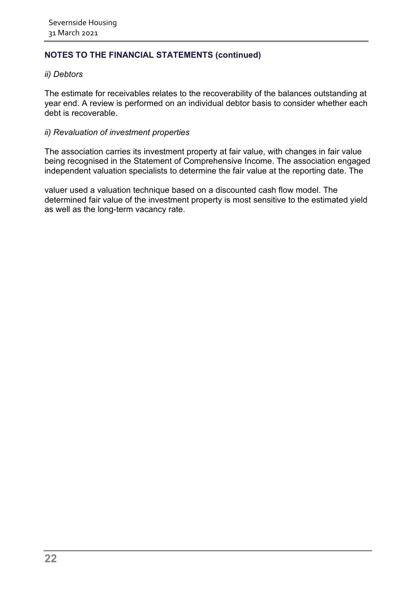#### *ii) Debtors*

The estimate for receivables relates to the recoverability of the balances outstanding at year end. A review is performed on an individual debtor basis to consider whether each debt is recoverable.

#### *ii) Revaluation of investment properties*

The association carries its investment property at fair value, with changes in fair value being recognised in the Statement of Comprehensive Income. The association engaged independent valuation specialists to determine the fair value at the reporting date. The

valuer used a valuation technique based on a discounted cash flow model. The determined fair value of the investment property is most sensitive to the estimated yield as well as the long-term vacancy rate.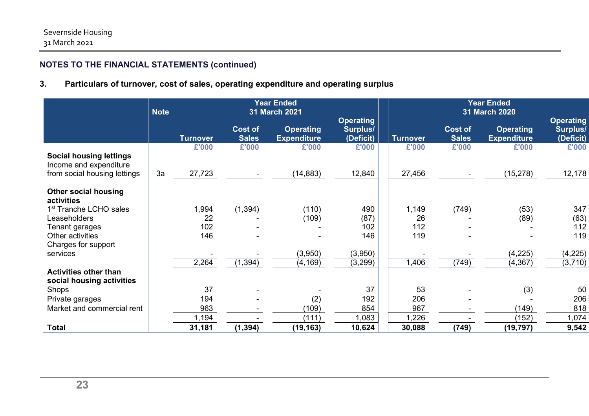## **3. Particulars of turnover, cost of sales, operating expenditure and operating surplus**

|                                                          | <b>Note</b> |                 |                                | <b>Year Ended</b><br>31 March 2021     |                                           | <b>Year Ended</b><br>31 March 2020 |                                |                                        |                                                  |
|----------------------------------------------------------|-------------|-----------------|--------------------------------|----------------------------------------|-------------------------------------------|------------------------------------|--------------------------------|----------------------------------------|--------------------------------------------------|
|                                                          |             | <b>Turnover</b> | <b>Cost of</b><br><b>Sales</b> | <b>Operating</b><br><b>Expenditure</b> | <b>Operating</b><br>Surplus/<br>(Deficit) | <b>Turnover</b>                    | <b>Cost of</b><br><b>Sales</b> | <b>Operating</b><br><b>Expenditure</b> | <b>Operating</b><br><b>Surplus/</b><br>(Deficit) |
|                                                          |             | £'000           | £'000                          | £'000                                  | £'000                                     | £'000                              | £'000                          | £'000                                  | £'000                                            |
| <b>Social housing lettings</b><br>Income and expenditure |             |                 |                                |                                        |                                           |                                    |                                |                                        |                                                  |
| from social housing lettings                             | 3a          | 27,723          |                                | (14, 883)                              | 12,840                                    | 27,456                             |                                | (15, 278)                              | 12,178                                           |
| <b>Other social housing</b><br>activities                |             |                 |                                |                                        |                                           |                                    |                                |                                        |                                                  |
| 1 <sup>st</sup> Tranche LCHO sales                       |             | 1,994           | (1, 394)                       | (110)                                  | 490                                       | 1,149                              | (749)                          | (53)                                   | 347                                              |
| Leaseholders                                             |             | 22              |                                | (109)                                  | (87)                                      | 26                                 |                                | (89)                                   | (63)                                             |
| Tenant garages                                           |             | 102             |                                |                                        | 102                                       | 112                                |                                |                                        | 112                                              |
| Other activities                                         |             | 146             |                                |                                        | 146                                       | 119                                |                                |                                        | 119                                              |
| Charges for support                                      |             |                 |                                |                                        |                                           |                                    |                                |                                        |                                                  |
| services                                                 |             |                 |                                | (3,950)                                | (3,950)                                   |                                    |                                | (4, 225)                               | (4, 225)                                         |
|                                                          |             | 2,264           | (1, 394)                       | (4, 169)                               | (3,299)                                   | 1,406                              | (749)                          | (4, 367)                               | (3,710)                                          |
| <b>Activities other than</b>                             |             |                 |                                |                                        |                                           |                                    |                                |                                        |                                                  |
| social housing activities                                |             |                 |                                |                                        |                                           |                                    |                                |                                        |                                                  |
| Shops                                                    |             | 37              |                                |                                        | 37                                        | 53                                 |                                | (3)                                    | 50                                               |
| Private garages                                          |             | 194             |                                | (2)                                    | 192                                       | 206                                |                                |                                        | 206                                              |
| Market and commercial rent                               |             | 963             |                                | (109)                                  | 854                                       | 967                                |                                | (149)                                  | 818                                              |
|                                                          |             | 1,194           |                                | (111)                                  | 1,083                                     | 1,226                              |                                | (152)                                  | 1,074                                            |
| <b>Total</b>                                             |             | 31,181          | (1, 394)                       | (19, 163)                              | 10,624                                    | 30,088                             | (749)                          | (19, 797)                              | 9,542                                            |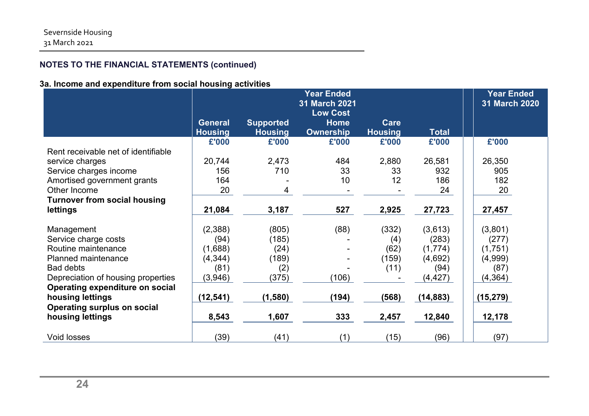## **3a. Income and expenditure from social housing activities**

|                                     |                |                  | <b>Year Ended</b><br><b>31 March 2021</b> |                |              | <b>Year Ended</b><br>31 March 2020 |  |
|-------------------------------------|----------------|------------------|-------------------------------------------|----------------|--------------|------------------------------------|--|
|                                     |                |                  | <b>Low Cost</b>                           |                |              |                                    |  |
|                                     | <b>General</b> | <b>Supported</b> | <b>Home</b>                               | Care           |              |                                    |  |
|                                     | <b>Housing</b> | <b>Housing</b>   | <b>Ownership</b>                          | <b>Housing</b> | <b>Total</b> |                                    |  |
|                                     | £'000          | £'000            | £'000                                     | £'000          | £'000        | £'000                              |  |
| Rent receivable net of identifiable |                |                  |                                           |                |              |                                    |  |
| service charges                     | 20,744         | 2,473            | 484                                       | 2,880          | 26,581       | 26,350                             |  |
| Service charges income              | 156            | 710              | 33                                        | 33             | 932          | 905                                |  |
| Amortised government grants         | 164            |                  | 10                                        | 12             | 186          | 182                                |  |
| Other Income                        | 20             | 4                |                                           |                | 24           | 20                                 |  |
| <b>Turnover from social housing</b> |                |                  |                                           |                |              |                                    |  |
| <b>lettings</b>                     | 21,084         | 3,187            | 527                                       | 2,925          | 27,723       | 27,457                             |  |
| Management                          | (2,388)        | (805)            | (88)                                      | (332)          | (3,613)      | (3,801)                            |  |
| Service charge costs                | (94)           | (185)            |                                           | (4)            | (283)        | (277)                              |  |
| Routine maintenance                 | (1,688)        | (24)             |                                           | (62)           | (1, 774)     | (1,751)                            |  |
| <b>Planned maintenance</b>          | (4, 344)       | (189)            |                                           | (159)          | (4,692)      | (4,999)                            |  |
| <b>Bad debts</b>                    | (81)           | (2)              |                                           | (11)           | (94)         | (87)                               |  |
| Depreciation of housing properties  | (3,946)        | (375)            | (106)                                     |                | (4, 427)     | (4, 364)                           |  |
| Operating expenditure on social     |                |                  |                                           |                |              |                                    |  |
| housing lettings                    | (12, 541)      | (1,580)          | (194)                                     | (568)          | (14, 883)    | (15, 279)                          |  |
| <b>Operating surplus on social</b>  |                |                  |                                           |                |              |                                    |  |
| housing lettings                    | 8,543          | 1,607            | 333                                       | 2,457          | 12,840       | 12,178                             |  |
|                                     |                |                  |                                           |                |              |                                    |  |
| <b>Void losses</b>                  | (39)           | (41)             | (1)                                       | (15)           | (96)         | (97)                               |  |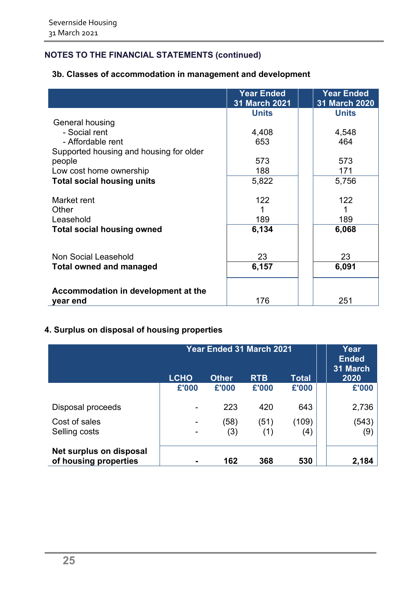## **3b. Classes of accommodation in management and development**

|                                         | <b>Year Ended</b><br>31 March 2021 | <b>Year Ended</b><br>31 March 2020 |
|-----------------------------------------|------------------------------------|------------------------------------|
|                                         | <b>Units</b>                       | <b>Units</b>                       |
| General housing                         |                                    |                                    |
| - Social rent                           | 4,408                              | 4,548                              |
| - Affordable rent                       | 653                                | 464                                |
| Supported housing and housing for older |                                    |                                    |
| people                                  | 573                                | 573                                |
|                                         |                                    |                                    |
| Low cost home ownership                 | 188                                | 171                                |
| <b>Total social housing units</b>       | 5,822                              | 5,756                              |
|                                         |                                    |                                    |
| Market rent                             | 122                                | 122                                |
| Other                                   |                                    |                                    |
| Leasehold                               | 189                                | 189                                |
| <b>Total social housing owned</b>       | 6,134                              | 6,068                              |
|                                         |                                    |                                    |
|                                         |                                    |                                    |
| Non Social Leasehold                    | 23                                 | 23                                 |
| <b>Total owned and managed</b>          | 6,157                              | 6,091                              |
|                                         |                                    |                                    |
|                                         |                                    |                                    |
| Accommodation in development at the     |                                    |                                    |
| year end                                | 176                                | 251                                |

## **4. Surplus on disposal of housing properties**

|                                                  | Year Ended 31 March 2021 |              |             |              | Year<br><b>Ended</b><br>31 March |
|--------------------------------------------------|--------------------------|--------------|-------------|--------------|----------------------------------|
|                                                  | <b>LCHO</b>              | <b>Other</b> | <b>RTB</b>  | Total        | 2020                             |
|                                                  | £'000                    | £'000        | £'000       | £'000        | £'000                            |
| Disposal proceeds                                |                          | 223          | 420         | 643          | 2,736                            |
| Cost of sales<br>Selling costs                   |                          | (58)<br>(3)  | (51)<br>(1) | (109)<br>(4) | (543)<br>(9)                     |
| Net surplus on disposal<br>of housing properties |                          | 162          | 368         | 530          | 2,184                            |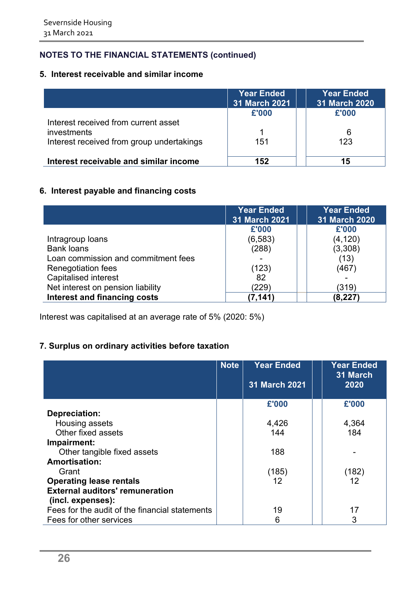## **5. Interest receivable and similar income**

|                                           | <b>Year Ended</b><br>31 March 2021 | <b>Year Ended</b><br>31 March 2020 |
|-------------------------------------------|------------------------------------|------------------------------------|
|                                           | £'000                              | £'000                              |
| Interest received from current asset      |                                    |                                    |
| investments                               |                                    |                                    |
| Interest received from group undertakings | 151                                | 123                                |
| Interest receivable and similar income    | 152                                | 15                                 |

## **6. Interest payable and financing costs**

|                                     | <b>Year Ended</b><br>31 March 2021 | <b>Year Ended</b><br>31 March 2020 |
|-------------------------------------|------------------------------------|------------------------------------|
|                                     | £'000                              | £'000                              |
| Intragroup loans                    | (6, 583)                           | (4, 120)                           |
| <b>Bank loans</b>                   | (288)                              | (3,308)                            |
| Loan commission and commitment fees |                                    | (13)                               |
| <b>Renegotiation fees</b>           | (123)                              | (467)                              |
| <b>Capitalised interest</b>         | 82                                 |                                    |
| Net interest on pension liability   | (229)                              | (319)                              |
| Interest and financing costs        | (7,141                             | (8, 227)                           |

Interest was capitalised at an average rate of 5% (2020: 5%)

## **7. Surplus on ordinary activities before taxation**

|                                                | <b>Note</b> | <b>Year Ended</b><br><b>31 March 2021</b> | <b>Year Ended</b><br>31 March<br>2020 |
|------------------------------------------------|-------------|-------------------------------------------|---------------------------------------|
|                                                |             | £'000                                     | £'000                                 |
| Depreciation:                                  |             |                                           |                                       |
| Housing assets                                 |             | 4,426                                     | 4,364                                 |
| Other fixed assets                             |             | 144                                       | 184                                   |
| Impairment:                                    |             |                                           |                                       |
| Other tangible fixed assets                    |             | 188                                       |                                       |
| <b>Amortisation:</b>                           |             |                                           |                                       |
| Grant                                          |             | (185)                                     | (182)                                 |
| <b>Operating lease rentals</b>                 |             | 12                                        | 12                                    |
| <b>External auditors' remuneration</b>         |             |                                           |                                       |
| (incl. expenses):                              |             |                                           |                                       |
| Fees for the audit of the financial statements |             | 19                                        | 17                                    |
| Fees for other services                        |             | 6                                         | 3                                     |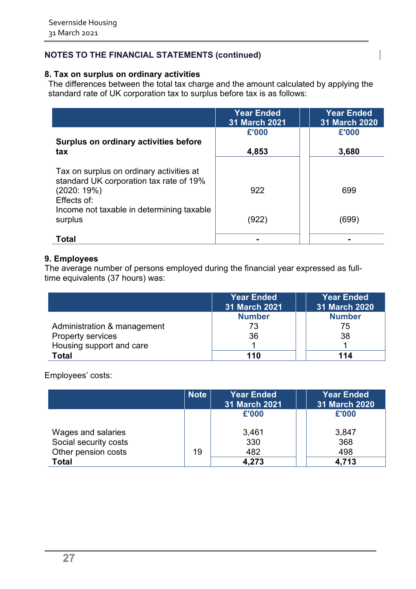## **8. Tax on surplus on ordinary activities**

The differences between the total tax charge and the amount calculated by applying the standard rate of UK corporation tax to surplus before tax is as follows:

|                                                                                     | <b>Year Ended</b><br><b>31 March 2021</b> | <b>Year Ended</b><br><b>31 March 2020</b> |
|-------------------------------------------------------------------------------------|-------------------------------------------|-------------------------------------------|
|                                                                                     | £'000                                     | £'000                                     |
| Surplus on ordinary activities before<br>tax                                        | 4,853                                     | 3,680                                     |
| Tax on surplus on ordinary activities at<br>standard UK corporation tax rate of 19% |                                           |                                           |
| (2020:19%)<br>Effects of:                                                           | 922                                       | 699                                       |
| Income not taxable in determining taxable<br>surplus                                | (922)                                     | (699)                                     |
| Total                                                                               |                                           |                                           |

### **9. Employees**

The average number of persons employed during the financial year expressed as fulltime equivalents (37 hours) was:

|                             | <b>Year Ended</b><br><b>31 March 2021</b> | <b>Year Ended</b><br>31 March 2020 |
|-----------------------------|-------------------------------------------|------------------------------------|
|                             | <b>Number</b>                             | <b>Number</b>                      |
| Administration & management | 73                                        | 75                                 |
| Property services           | 36                                        | 38                                 |
| Housing support and care    |                                           |                                    |
| Total                       | 110                                       | 114                                |

Employees' costs:

|                       | <b>Note</b> | <b>Year Ended</b><br>31 March 2021 | <b>Year Ended</b><br>31 March 2020 |
|-----------------------|-------------|------------------------------------|------------------------------------|
|                       |             | £'000                              | £'000                              |
| Wages and salaries    |             | 3,461                              | 3,847                              |
| Social security costs |             | 330                                | 368                                |
| Other pension costs   | 19          | 482                                | 498                                |
| <b>Total</b>          |             | 4,273                              | 4,713                              |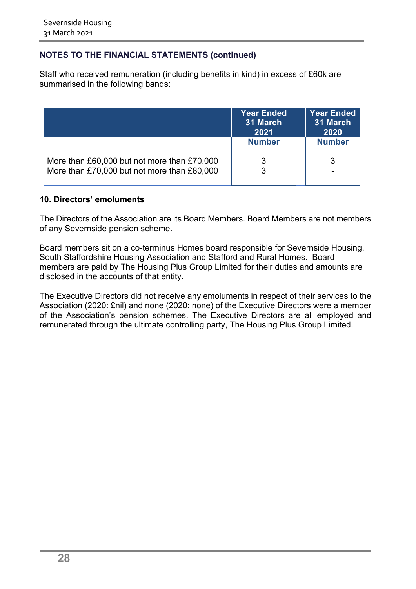Staff who received remuneration (including benefits in kind) in excess of £60k are summarised in the following bands:

|                                             | <b>Year Ended</b><br>31 March<br>2021 | <b>Year Ended</b><br>31 March<br>2020 |
|---------------------------------------------|---------------------------------------|---------------------------------------|
|                                             | <b>Number</b>                         | <b>Number</b>                         |
| More than £60,000 but not more than £70,000 | 3                                     | 3                                     |
| More than £70,000 but not more than £80,000 | 3                                     | $\overline{\phantom{0}}$              |

#### **10. Directors' emoluments**

The Directors of the Association are its Board Members. Board Members are not members of any Severnside pension scheme.

Board members sit on a co-terminus Homes board responsible for Severnside Housing, South Staffordshire Housing Association and Stafford and Rural Homes. Board members are paid by The Housing Plus Group Limited for their duties and amounts are disclosed in the accounts of that entity.

The Executive Directors did not receive any emoluments in respect of their services to the Association (2020: £nil) and none (2020: none) of the Executive Directors were a member of the Association's pension schemes. The Executive Directors are all employed and remunerated through the ultimate controlling party, The Housing Plus Group Limited.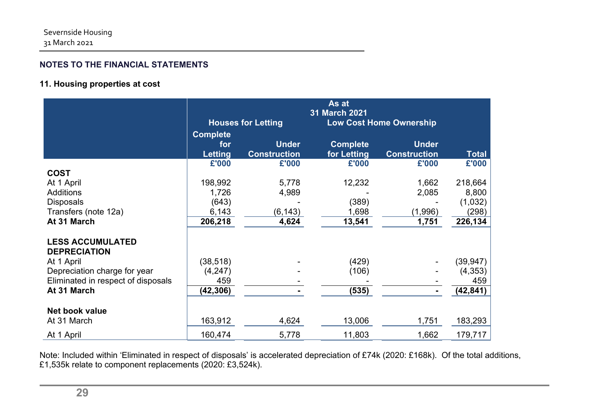## **11. Housing properties at cost**

|                                    |                 |                           | As at           |                                |              |
|------------------------------------|-----------------|---------------------------|-----------------|--------------------------------|--------------|
|                                    |                 | <b>Houses for Letting</b> | 31 March 2021   | <b>Low Cost Home Ownership</b> |              |
|                                    |                 |                           |                 |                                |              |
|                                    | <b>Complete</b> |                           |                 |                                |              |
|                                    | for             | <b>Under</b>              | <b>Complete</b> | <b>Under</b>                   |              |
|                                    | <b>Letting</b>  | <b>Construction</b>       | for Letting     | <b>Construction</b>            | <b>Total</b> |
|                                    | £'000           | £'000                     | £'000           | £'000                          | £'000        |
| <b>COST</b>                        |                 |                           |                 |                                |              |
| At 1 April                         | 198,992         | 5,778                     | 12,232          | 1,662                          | 218,664      |
| <b>Additions</b>                   | 1,726           | 4,989                     |                 | 2,085                          | 8,800        |
| <b>Disposals</b>                   | (643)           |                           | (389)           |                                | (1,032)      |
| Transfers (note 12a)               | 6,143           | (6, 143)                  | 1,698           | (1,996)                        | (298)        |
| At 31 March                        | 206,218         | 4,624                     | 13,541          | 1,751                          | 226,134      |
| <b>LESS ACCUMULATED</b>            |                 |                           |                 |                                |              |
| <b>DEPRECIATION</b>                |                 |                           |                 |                                |              |
| At 1 April                         | (38, 518)       |                           | (429)           |                                | (39, 947)    |
| Depreciation charge for year       | (4,247)         |                           | (106)           |                                | (4, 353)     |
| Eliminated in respect of disposals | 459             |                           |                 |                                | 459          |
| At 31 March                        | (42, 306)       |                           | (535)           |                                | (42, 841)    |
|                                    |                 |                           |                 |                                |              |
| Net book value                     |                 |                           |                 |                                |              |
| At 31 March                        | 163,912         | 4,624                     | 13,006          | 1,751                          | 183,293      |
| At 1 April                         | 160,474         | 5,778                     | 11,803          | 1,662                          | 179,717      |

Note: Included within 'Eliminated in respect of disposals' is accelerated depreciation of £74k (2020: £168k). Of the total additions, £1,535k relate to component replacements (2020: £3,524k).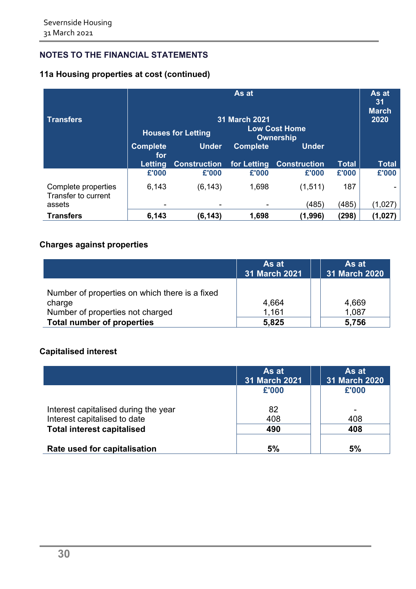## **11a Housing properties at cost (continued)**

| <b>Transfers</b>                           | As at<br>31 March 2021<br><b>Low Cost Home</b><br><b>Houses for Letting</b><br><b>Ownership</b> |                     |                 |                     | As at<br>31<br><b>March</b><br>2020 |              |
|--------------------------------------------|-------------------------------------------------------------------------------------------------|---------------------|-----------------|---------------------|-------------------------------------|--------------|
|                                            | <b>Complete</b><br>for                                                                          | <b>Under</b>        | <b>Complete</b> | <b>Under</b>        |                                     |              |
|                                            | Letting                                                                                         | <b>Construction</b> | for Letting     | <b>Construction</b> | <b>Total</b>                        | <b>Total</b> |
|                                            | £'000                                                                                           | £'000               | £'000           | £'000               | £'000                               | £'000        |
| Complete properties<br>Transfer to current | 6,143                                                                                           | (6, 143)            | 1,698           | (1, 511)            | 187                                 |              |
| assets                                     |                                                                                                 |                     |                 | (485)               | (485)                               | (1,027       |
| <b>Transfers</b>                           | 6,143                                                                                           | (6,143)             | 1,698           | (1,996)             | (298)                               | (1,027       |

## **Charges against properties**

|                                                          | As at<br>31 March 2021 | As at<br>31 March 2020 |
|----------------------------------------------------------|------------------------|------------------------|
| Number of properties on which there is a fixed<br>charge | 4,664                  | 4,669                  |
| Number of properties not charged                         | 1,161                  | 1,087                  |
| <b>Total number of properties</b>                        | 5,825                  | 5,756                  |

## **Capitalised interest**

|                                      | As at<br>31 March 2021 | As at<br>31 March 2020 |
|--------------------------------------|------------------------|------------------------|
|                                      | £'000                  | £'000                  |
| Interest capitalised during the year | 82                     |                        |
| Interest capitalised to date         | 408                    | 408                    |
| <b>Total interest capitalised</b>    | 490                    | 408                    |
| Rate used for capitalisation         | 5%                     | 5%                     |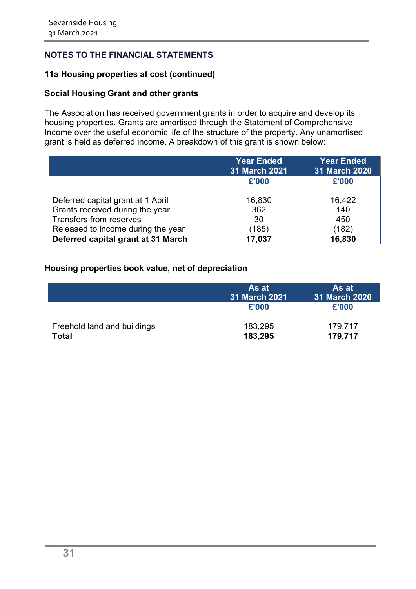#### **11a Housing properties at cost (continued)**

#### **Social Housing Grant and other grants**

The Association has received government grants in order to acquire and develop its housing properties. Grants are amortised through the Statement of Comprehensive Income over the useful economic life of the structure of the property. Any unamortised grant is held as deferred income. A breakdown of this grant is shown below:

|                                    | <b>Year Ended</b><br><b>31 March 2021</b> | <b>Year Ended</b><br>31 March 2020 |
|------------------------------------|-------------------------------------------|------------------------------------|
|                                    | £'000                                     | £'000                              |
| Deferred capital grant at 1 April  | 16,830                                    | 16,422                             |
| Grants received during the year    | 362                                       | 140                                |
| Transfers from reserves            | 30                                        | 450                                |
| Released to income during the year | (185)                                     | (182)                              |
| Deferred capital grant at 31 March | 17,037                                    | 16,830                             |

#### **Housing properties book value, net of depreciation**

|                             | As at<br>31 March 2021 | As at<br>31 March 2020 |
|-----------------------------|------------------------|------------------------|
|                             | £'000                  | £'000                  |
| Freehold land and buildings | 183,295                | 179,717                |
| Total                       | 183,295                | 179,717                |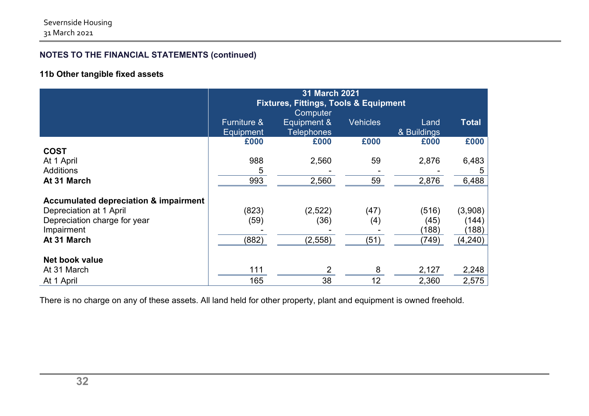## **11b Other tangible fixed assets**

|                                                                                                                                          | 31 March 2021<br><b>Fixtures, Fittings, Tools &amp; Equipment</b><br>Computer |                                  |                     |                                 |                                       |
|------------------------------------------------------------------------------------------------------------------------------------------|-------------------------------------------------------------------------------|----------------------------------|---------------------|---------------------------------|---------------------------------------|
|                                                                                                                                          | <b>Furniture &amp;</b><br>Equipment                                           | Equipment &<br><b>Telephones</b> | <b>Vehicles</b>     | Land<br>& Buildings             | <b>Total</b>                          |
|                                                                                                                                          | £000                                                                          | £000                             | £000                | £000                            | £000                                  |
| <b>COST</b>                                                                                                                              |                                                                               |                                  |                     |                                 |                                       |
| At 1 April                                                                                                                               | 988                                                                           | 2,560                            | 59                  | 2,876                           | 6,483                                 |
| <b>Additions</b>                                                                                                                         | 5                                                                             |                                  |                     |                                 | 5                                     |
| At 31 March                                                                                                                              | 993                                                                           | 2,560                            | 59                  | 2,876                           | 6,488                                 |
| <b>Accumulated depreciation &amp; impairment</b><br>Depreciation at 1 April<br>Depreciation charge for year<br>Impairment<br>At 31 March | (823)<br>(59)<br>(882)                                                        | (2,522)<br>(36)<br>(2,558)       | (47)<br>(4)<br>(51) | (516)<br>(45)<br>(188)<br>(749) | (3,908)<br>(144)<br>(188)<br>(4, 240) |
| Net book value                                                                                                                           |                                                                               |                                  |                     |                                 |                                       |
| At 31 March                                                                                                                              | 111                                                                           | 2                                | 8                   | 2,127                           | 2,248                                 |
| At 1 April                                                                                                                               | 165                                                                           | 38                               | 12                  | 2,360                           | 2,575                                 |

There is no charge on any of these assets. All land held for other property, plant and equipment is owned freehold.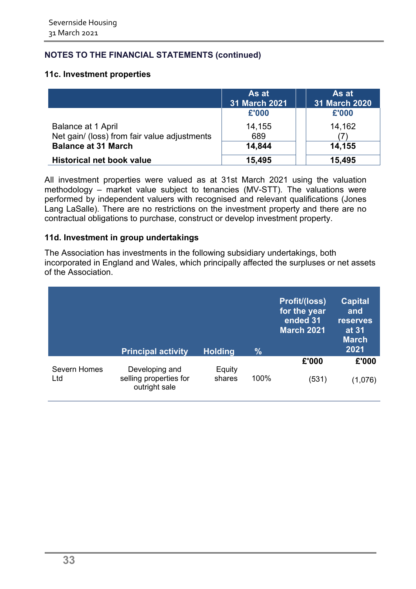#### **11c. Investment properties**

|                                              | As at<br><b>31 March 2021</b> | As at<br><b>31 March 2020</b> |
|----------------------------------------------|-------------------------------|-------------------------------|
|                                              | £'000                         | £'000                         |
| Balance at 1 April                           | 14,155                        | 14,162                        |
| Net gain/ (loss) from fair value adjustments | 689                           |                               |
| <b>Balance at 31 March</b>                   | 14,844                        | 14,155                        |
| <b>Historical net book value</b>             | 15,495                        | 15,495                        |

All investment properties were valued as at 31st March 2021 using the valuation methodology – market value subject to tenancies (MV-STT). The valuations were performed by independent valuers with recognised and relevant qualifications (Jones Lang LaSalle). There are no restrictions on the investment property and there are no contractual obligations to purchase, construct or develop investment property.

#### **11d. Investment in group undertakings**

The Association has investments in the following subsidiary undertakings, both incorporated in England and Wales, which principally affected the surpluses or net assets of the Association.

|                     | <b>Principal activity</b>               | <b>Holding</b> | $\frac{9}{6}$ | <b>Profit/(loss)</b><br>for the year<br>ended 31<br><b>March 2021</b> | <b>Capital</b><br>and<br><b>reserves</b><br>at 31<br><b>March</b><br>2021 |
|---------------------|-----------------------------------------|----------------|---------------|-----------------------------------------------------------------------|---------------------------------------------------------------------------|
| <b>Severn Homes</b> | Developing and                          | Equity         |               | £'000                                                                 | £'000                                                                     |
| Ltd                 | selling properties for<br>outright sale | shares         | 100%          | (531)                                                                 | (1,076)                                                                   |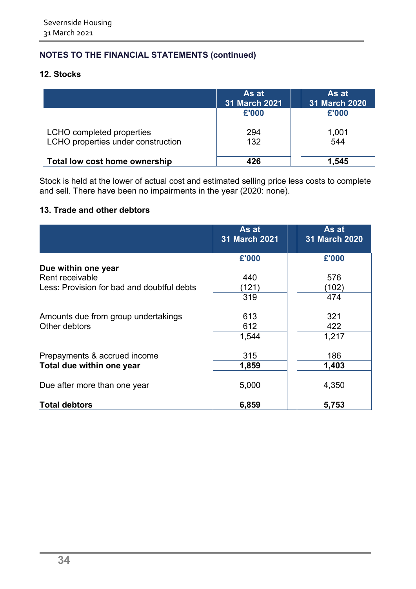## **12. Stocks**

|                                    | As at<br><b>31 March 2021</b> | As at<br><b>31 March 2020</b> |
|------------------------------------|-------------------------------|-------------------------------|
|                                    | £'000                         | £'000                         |
| LCHO completed properties          | 294                           | 1,001                         |
| LCHO properties under construction | 132                           | 544                           |
| Total low cost home ownership      | 426                           | 1,545                         |

Stock is held at the lower of actual cost and estimated selling price less costs to complete and sell. There have been no impairments in the year (2020: none).

## **13. Trade and other debtors**

|                                            | As at<br><b>31 March 2021</b> | As at<br><b>31 March 2020</b> |
|--------------------------------------------|-------------------------------|-------------------------------|
|                                            | £'000                         | £'000                         |
| Due within one year                        |                               |                               |
| Rent receivable                            | 440                           | 576                           |
| Less: Provision for bad and doubtful debts | (121)                         | (102)                         |
|                                            | 319                           | 474                           |
| Amounts due from group undertakings        | 613                           | 321                           |
| Other debtors                              | 612                           | 422                           |
|                                            | 1,544                         | 1,217                         |
| Prepayments & accrued income               | 315                           | 186                           |
| Total due within one year                  | 1,859                         | 1,403                         |
| Due after more than one year               | 5,000                         | 4,350                         |
| <b>Total debtors</b>                       | 6,859                         | 5,753                         |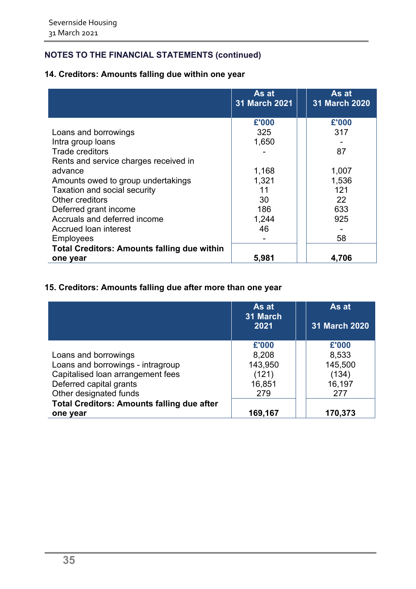## **14. Creditors: Amounts falling due within one year**

|                                                    | As at<br><b>31 March 2021</b> | As at<br>31 March 2020 |
|----------------------------------------------------|-------------------------------|------------------------|
|                                                    | £'000                         | £'000                  |
| Loans and borrowings                               | 325                           | 317                    |
| Intra group loans                                  | 1,650                         |                        |
| <b>Trade creditors</b>                             |                               | 87                     |
| Rents and service charges received in              |                               |                        |
| advance                                            | 1,168                         | 1,007                  |
| Amounts owed to group undertakings                 | 1,321                         | 1,536                  |
| Taxation and social security                       | 11                            | 121                    |
| Other creditors                                    | 30                            | 22                     |
| Deferred grant income                              | 186                           | 633                    |
| Accruals and deferred income                       | 1,244                         | 925                    |
| Accrued loan interest                              | 46                            |                        |
| <b>Employees</b>                                   |                               | 58                     |
| <b>Total Creditors: Amounts falling due within</b> |                               |                        |
| one year                                           | 5,981                         | 4,706                  |

## **15. Creditors: Amounts falling due after more than one year**

|                                                   | As at<br>31 March<br>2021 | As at<br><b>31 March 2020</b> |
|---------------------------------------------------|---------------------------|-------------------------------|
|                                                   | £'000                     | £'000                         |
| Loans and borrowings                              | 8,208                     | 8,533                         |
| Loans and borrowings - intragroup                 | 143,950                   | 145,500                       |
| Capitalised loan arrangement fees                 | (121)                     | (134)                         |
| Deferred capital grants                           | 16,851                    | 16,197                        |
| Other designated funds                            | 279                       | 277                           |
| <b>Total Creditors: Amounts falling due after</b> |                           |                               |
| one year                                          | 169,167                   | 170,373                       |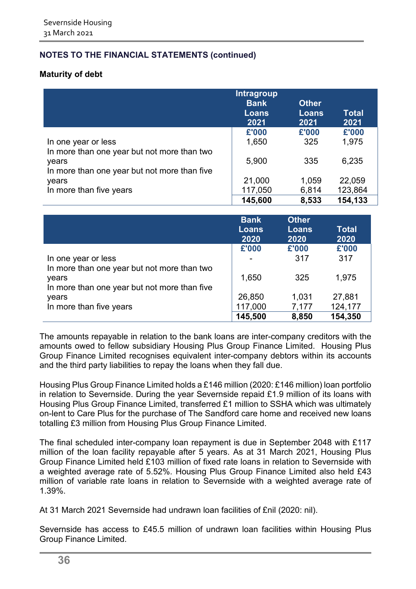#### **Maturity of debt**

|                                                                                                      | <b>Intragroup</b><br><b>Bank</b><br><b>Loans</b><br>2021 | <b>Other</b><br><b>Loans</b><br>2021 | <b>Total</b><br>2021 |
|------------------------------------------------------------------------------------------------------|----------------------------------------------------------|--------------------------------------|----------------------|
|                                                                                                      | £'000                                                    | £'000                                | £'000                |
| In one year or less                                                                                  | 1,650                                                    | 325                                  | 1,975                |
| In more than one year but not more than two<br>years<br>In more than one year but not more than five | 5,900                                                    | 335                                  | 6,235                |
| years                                                                                                | 21,000                                                   | 1,059                                | 22,059               |
| In more than five years                                                                              | 117,050                                                  | 6,814                                | 123,864              |
|                                                                                                      | 145,600                                                  | 8,533                                | 154,133              |

|                                                                                                      | <b>Bank</b><br><b>Loans</b><br>2020 | <b>Other</b><br><b>Loans</b><br>2020 | Total<br>2020 |
|------------------------------------------------------------------------------------------------------|-------------------------------------|--------------------------------------|---------------|
|                                                                                                      | £'000                               | £'000                                | £'000         |
| In one year or less                                                                                  |                                     | 317                                  | 317           |
| In more than one year but not more than two<br>years<br>In more than one year but not more than five | 1,650                               | 325                                  | 1,975         |
| years                                                                                                | 26,850                              | 1,031                                | 27,881        |
| In more than five years                                                                              | 117,000                             | 7,177                                | 124,177       |
|                                                                                                      | 145,500                             | 8,850                                | 154,350       |

The amounts repayable in relation to the bank loans are inter-company creditors with the amounts owed to fellow subsidiary Housing Plus Group Finance Limited. Housing Plus Group Finance Limited recognises equivalent inter-company debtors within its accounts and the third party liabilities to repay the loans when they fall due.

Housing Plus Group Finance Limited holds a £146 million (2020: £146 million) loan portfolio in relation to Severnside. During the year Severnside repaid £1.9 million of its loans with Housing Plus Group Finance Limited, transferred £1 million to SSHA which was ultimately on-lent to Care Plus for the purchase of The Sandford care home and received new loans totalling £3 million from Housing Plus Group Finance Limited.

The final scheduled inter-company loan repayment is due in September 2048 with £117 million of the loan facility repayable after 5 years. As at 31 March 2021, Housing Plus Group Finance Limited held £103 million of fixed rate loans in relation to Severnside with a weighted average rate of 5.52%. Housing Plus Group Finance Limited also held £43 million of variable rate loans in relation to Severnside with a weighted average rate of 1.39%.

At 31 March 2021 Severnside had undrawn loan facilities of £nil (2020: nil).

Severnside has access to £45.5 million of undrawn loan facilities within Housing Plus Group Finance Limited.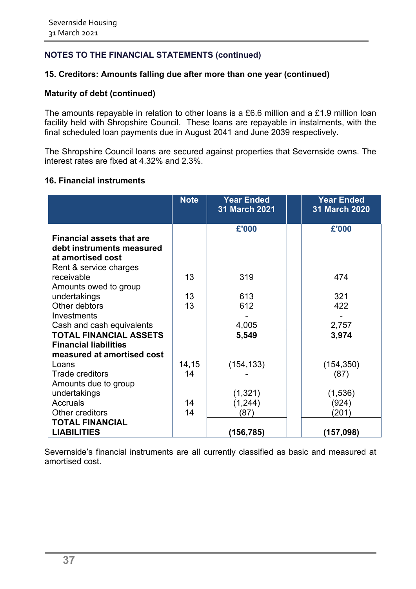#### **15. Creditors: Amounts falling due after more than one year (continued)**

#### **Maturity of debt (continued)**

The amounts repayable in relation to other loans is a £6.6 million and a £1.9 million loan facility held with Shropshire Council. These loans are repayable in instalments, with the final scheduled loan payments due in August 2041 and June 2039 respectively.

The Shropshire Council loans are secured against properties that Severnside owns. The interest rates are fixed at 4.32% and 2.3%.

#### **16. Financial instruments**

|                                  | <b>Note</b> | <b>Year Ended</b><br>31 March 2021 | <b>Year Ended</b><br><b>31 March 2020</b> |
|----------------------------------|-------------|------------------------------------|-------------------------------------------|
|                                  |             | £'000                              | £'000                                     |
| <b>Financial assets that are</b> |             |                                    |                                           |
| debt instruments measured        |             |                                    |                                           |
| at amortised cost                |             |                                    |                                           |
| Rent & service charges           |             |                                    |                                           |
| receivable                       | 13          | 319                                | 474                                       |
| Amounts owed to group            |             |                                    |                                           |
| undertakings                     | 13          | 613                                | 321                                       |
| Other debtors<br>Investments     | 13          | 612                                | 422                                       |
| Cash and cash equivalents        |             | 4,005                              | 2,757                                     |
| <b>TOTAL FINANCIAL ASSETS</b>    |             | 5,549                              | 3,974                                     |
| <b>Financial liabilities</b>     |             |                                    |                                           |
| measured at amortised cost       |             |                                    |                                           |
| Loans                            | 14,15       | (154, 133)                         | (154, 350)                                |
| <b>Trade creditors</b>           | 14          |                                    | (87)                                      |
| Amounts due to group             |             |                                    |                                           |
| undertakings                     |             | (1, 321)                           | (1,536)                                   |
| Accruals                         | 14          | (1, 244)                           | (924)                                     |
| Other creditors                  | 14          | (87)                               | (201)                                     |
| <b>TOTAL FINANCIAL</b>           |             |                                    |                                           |
| <b>LIABILITIES</b>               |             | (156,785)                          | (157,098)                                 |

Severnside's financial instruments are all currently classified as basic and measured at amortised cost.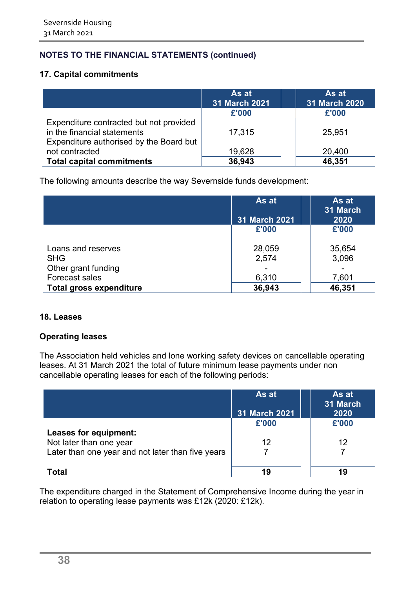#### **17. Capital commitments**

|                                                                                                                   | As at<br>31 March 2021 | As at<br>31 March 2020 |
|-------------------------------------------------------------------------------------------------------------------|------------------------|------------------------|
|                                                                                                                   | £'000                  | £'000                  |
| Expenditure contracted but not provided<br>in the financial statements<br>Expenditure authorised by the Board but | 17,315                 | 25,951                 |
| not contracted                                                                                                    | 19,628                 | 20,400                 |
| <b>Total capital commitments</b>                                                                                  | 36,943                 | 46,351                 |

The following amounts describe the way Severnside funds development:

|                                  | As at<br>31 March 2021 | As at<br>31 March<br>2020 |
|----------------------------------|------------------------|---------------------------|
|                                  | £'000                  | £'000                     |
| Loans and reserves<br><b>SHG</b> | 28,059<br>2,574        | 35,654<br>3,096           |
| Other grant funding              |                        |                           |
| Forecast sales                   | 6,310                  | 7,601                     |
| <b>Total gross expenditure</b>   | 36,943                 | 46,351                    |

#### **18. Leases**

#### **Operating leases**

The Association held vehicles and lone working safety devices on cancellable operating leases. At 31 March 2021 the total of future minimum lease payments under non cancellable operating leases for each of the following periods:

|                                                   | As at<br>31 March 2021 | As at<br>31 March<br>2020 |
|---------------------------------------------------|------------------------|---------------------------|
|                                                   | £'000                  | £'000                     |
| Leases for equipment:                             |                        |                           |
| Not later than one year                           | 12                     | 12                        |
| Later than one year and not later than five years |                        |                           |
|                                                   |                        |                           |
| Total                                             | 19                     | 19                        |

The expenditure charged in the Statement of Comprehensive Income during the year in relation to operating lease payments was £12k (2020: £12k).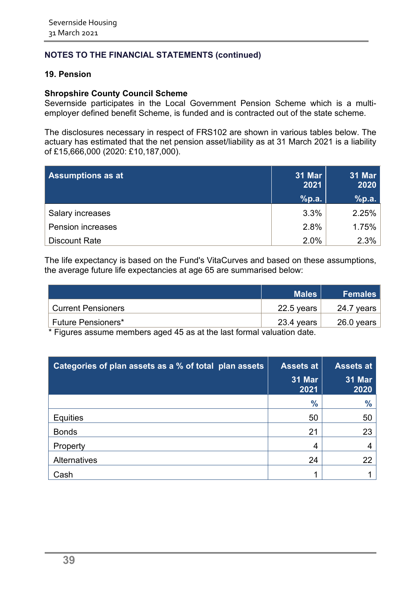#### **19. Pension**

#### **Shropshire County Council Scheme**

Severnside participates in the Local Government Pension Scheme which is a multiemployer defined benefit Scheme, is funded and is contracted out of the state scheme.

The disclosures necessary in respect of FRS102 are shown in various tables below. The actuary has estimated that the net pension asset/liability as at 31 March 2021 is a liability of £15,666,000 (2020: £10,187,000).

| <b>Assumptions as at</b> | 31 Mar<br>2021 | 31 Mar<br>2020 |
|--------------------------|----------------|----------------|
|                          | %p.a.          | %p.a.          |
| Salary increases         | 3.3%           | 2.25%          |
| Pension increases        | 2.8%           | 1.75%          |
| <b>Discount Rate</b>     | 2.0%           | 2.3%           |

The life expectancy is based on the Fund's VitaCurves and based on these assumptions, the average future life expectancies at age 65 are summarised below:

|                           | <b>Males</b> | <b>Females</b> |
|---------------------------|--------------|----------------|
| <b>Current Pensioners</b> | $22.5$ years | 24.7 years     |
| <b>Future Pensioners*</b> | $23.4$ years | 26.0 years     |
| .<br>.<br>.               |              |                |

\* Figures assume members aged 45 as at the last formal valuation date.

| Categories of plan assets as a % of total plan assets | <b>Assets at</b>      | <b>Assets at</b>      |
|-------------------------------------------------------|-----------------------|-----------------------|
|                                                       | <b>31 Mar</b><br>2021 | <b>31 Mar</b><br>2020 |
|                                                       | $\frac{0}{0}$         | $\frac{9}{6}$         |
| <b>Equities</b>                                       | 50                    | 50                    |
| <b>Bonds</b>                                          | 21                    | 23                    |
| Property                                              | 4                     |                       |
| Alternatives                                          | 24                    | 22                    |
| Cash                                                  |                       |                       |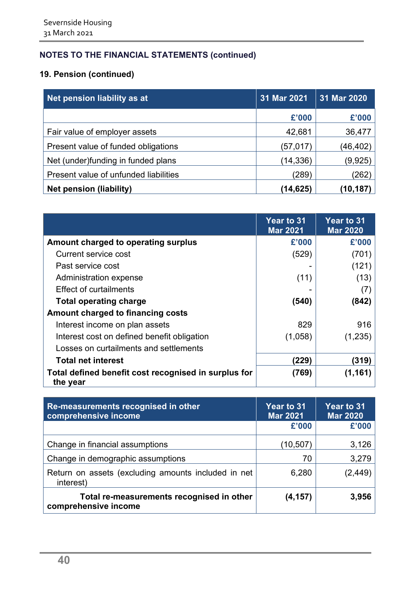## **19. Pension (continued)**

| Net pension liability as at           | 31 Mar 2021 | 31 Mar 2020 |
|---------------------------------------|-------------|-------------|
|                                       | £'000       | £'000       |
| Fair value of employer assets         | 42,681      | 36,477      |
| Present value of funded obligations   | (57,017)    | (46,402)    |
| Net (under)funding in funded plans    | (14, 336)   | (9, 925)    |
| Present value of unfunded liabilities | (289)       | (262)       |
| <b>Net pension (liability)</b>        | (14,625)    | (10,187     |

|                                                                  | Year to 31<br><b>Mar 2021</b> | <b>Year to 31</b><br><b>Mar 2020</b> |
|------------------------------------------------------------------|-------------------------------|--------------------------------------|
| Amount charged to operating surplus                              | £'000                         | £'000                                |
| Current service cost                                             | (529)                         | (701)                                |
| Past service cost                                                |                               | (121)                                |
| Administration expense                                           | (11)                          | (13)                                 |
| <b>Effect of curtailments</b>                                    |                               | (7)                                  |
| <b>Total operating charge</b>                                    | (540)                         | (842)                                |
| Amount charged to financing costs                                |                               |                                      |
| Interest income on plan assets                                   | 829                           | 916                                  |
| Interest cost on defined benefit obligation                      | (1,058)                       | (1,235)                              |
| Losses on curtailments and settlements                           |                               |                                      |
| <b>Total net interest</b>                                        | (229)                         | (319)                                |
| Total defined benefit cost recognised in surplus for<br>the year | (769)                         | (1, 161)                             |

| Re-measurements recognised in other<br>comprehensive income       | Year to 31<br><b>Mar 2021</b> | <b>Year to 31</b><br><b>Mar 2020</b> |
|-------------------------------------------------------------------|-------------------------------|--------------------------------------|
|                                                                   | £'000                         | £'000                                |
| Change in financial assumptions                                   | (10,507)                      | 3,126                                |
| Change in demographic assumptions                                 | 70                            | 3,279                                |
| Return on assets (excluding amounts included in net<br>interest)  | 6,280                         | (2, 449)                             |
| Total re-measurements recognised in other<br>comprehensive income | (4, 157)                      | 3,956                                |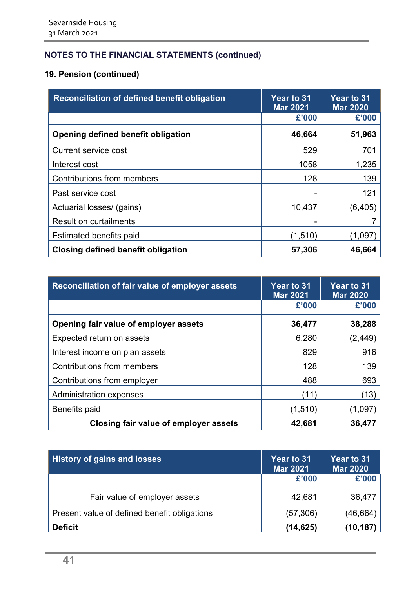## **19. Pension (continued)**

| <b>Reconciliation of defined benefit obligation</b> | <b>Year to 31</b><br><b>Mar 2021</b> | <b>Year to 31</b><br><b>Mar 2020</b> |
|-----------------------------------------------------|--------------------------------------|--------------------------------------|
|                                                     | £'000                                | £'000                                |
| Opening defined benefit obligation                  | 46,664                               | 51,963                               |
| Current service cost                                | 529                                  | 701                                  |
| Interest cost                                       | 1058                                 | 1,235                                |
| Contributions from members                          | 128                                  | 139                                  |
| Past service cost                                   |                                      | 121                                  |
| Actuarial losses/ (gains)                           | 10,437                               | (6, 405)                             |
| <b>Result on curtailments</b>                       |                                      |                                      |
| <b>Estimated benefits paid</b>                      | (1,510)                              | (1,097                               |
| <b>Closing defined benefit obligation</b>           | 57,306                               | 46,664                               |

| Reconciliation of fair value of employer assets | <b>Year to 31</b><br><b>Mar 2021</b> | <b>Year to 31</b><br><b>Mar 2020</b> |
|-------------------------------------------------|--------------------------------------|--------------------------------------|
|                                                 | £'000                                | £'000                                |
| Opening fair value of employer assets           | 36,477                               | 38,288                               |
| Expected return on assets                       | 6,280                                | (2,449)                              |
| Interest income on plan assets                  | 829                                  | 916                                  |
| Contributions from members                      | 128                                  | 139                                  |
| Contributions from employer                     | 488                                  | 693                                  |
| <b>Administration expenses</b>                  | (11)                                 | (13)                                 |
| Benefits paid                                   | (1,510)                              | (1,097                               |
| Closing fair value of employer assets           | 42,681                               | 36,477                               |

| <b>History of gains and losses</b>           | <b>Year to 31</b><br><b>Mar 2021</b> | <b>Year to 31</b><br><b>Mar 2020</b> |
|----------------------------------------------|--------------------------------------|--------------------------------------|
|                                              | £'000                                | £'000                                |
| Fair value of employer assets                | 42,681                               | 36,477                               |
| Present value of defined benefit obligations | (57,306)                             | (46,664)                             |
| <b>Deficit</b>                               | (14,625)                             | (10,187                              |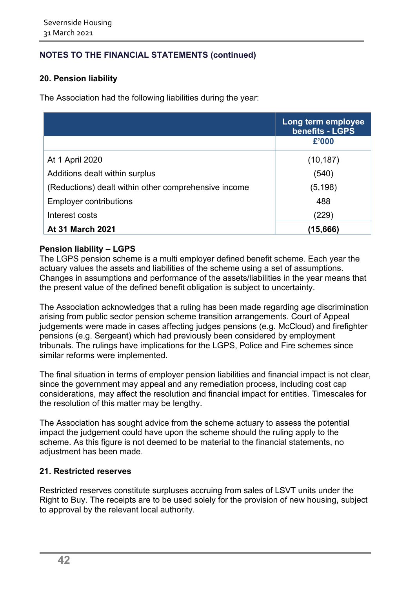## **20. Pension liability**

The Association had the following liabilities during the year:

|                                                      | Long term employee<br><b>benefits - LGPS</b> |
|------------------------------------------------------|----------------------------------------------|
|                                                      | £'000                                        |
| At 1 April 2020                                      | (10, 187)                                    |
| Additions dealt within surplus                       | (540)                                        |
| (Reductions) dealt within other comprehensive income | (5, 198)                                     |
| <b>Employer contributions</b>                        | 488                                          |
| Interest costs                                       | (229)                                        |
| <b>At 31 March 2021</b>                              | (15,666)                                     |

#### **Pension liability – LGPS**

The LGPS pension scheme is a multi employer defined benefit scheme. Each year the actuary values the assets and liabilities of the scheme using a set of assumptions. Changes in assumptions and performance of the assets/liabilities in the year means that the present value of the defined benefit obligation is subject to uncertainty.

The Association acknowledges that a ruling has been made regarding age discrimination arising from public sector pension scheme transition arrangements. Court of Appeal judgements were made in cases affecting judges pensions (e.g. McCloud) and firefighter pensions (e.g. Sergeant) which had previously been considered by employment tribunals. The rulings have implications for the LGPS, Police and Fire schemes since similar reforms were implemented.

The final situation in terms of employer pension liabilities and financial impact is not clear, since the government may appeal and any remediation process, including cost cap considerations, may affect the resolution and financial impact for entities. Timescales for the resolution of this matter may be lengthy.

The Association has sought advice from the scheme actuary to assess the potential impact the judgement could have upon the scheme should the ruling apply to the scheme. As this figure is not deemed to be material to the financial statements, no adjustment has been made.

#### **21. Restricted reserves**

Restricted reserves constitute surpluses accruing from sales of LSVT units under the Right to Buy. The receipts are to be used solely for the provision of new housing, subject to approval by the relevant local authority.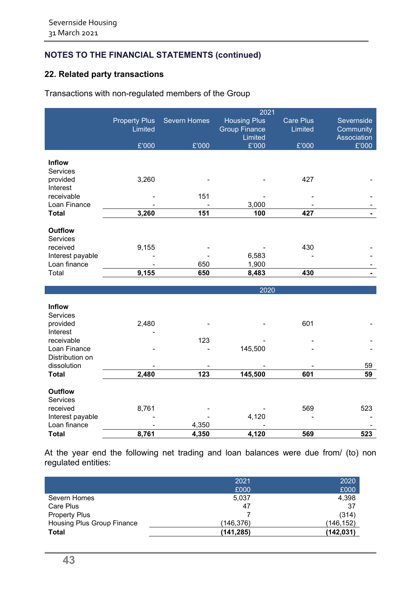## **22. Related party transactions**

## Transactions with non-regulated members of the Group

|                            |                      |                     | 2021                 |                  |             |
|----------------------------|----------------------|---------------------|----------------------|------------------|-------------|
|                            | <b>Property Plus</b> | <b>Severn Homes</b> | <b>Housing Plus</b>  | <b>Care Plus</b> | Severnside  |
|                            | Limited              |                     | <b>Group Finance</b> | Limited          | Community   |
|                            |                      |                     | Limited              |                  | Association |
|                            | £'000                | £'000               | E'000                | £'000            | £'000       |
|                            |                      |                     |                      |                  |             |
| <b>Inflow</b>              |                      |                     |                      |                  |             |
| Services                   |                      |                     |                      |                  |             |
| provided                   | 3,260                |                     |                      | 427              |             |
| Interest                   |                      |                     |                      |                  |             |
| receivable<br>Loan Finance |                      | 151                 | 3,000                |                  |             |
| <b>Total</b>               | 3,260                | 151                 | 100                  | 427              |             |
|                            |                      |                     |                      |                  |             |
| <b>Outflow</b>             |                      |                     |                      |                  |             |
| Services                   |                      |                     |                      |                  |             |
| received                   | 9,155                |                     |                      | 430              |             |
| Interest payable           |                      |                     | 6,583                |                  |             |
| Loan finance               |                      | 650                 | 1,900                |                  |             |
| Total                      | 9,155                | 650                 | 8,483                | 430              |             |
|                            |                      |                     |                      |                  |             |
|                            |                      |                     | 2020                 |                  |             |
|                            |                      |                     |                      |                  |             |
| <b>Inflow</b>              |                      |                     |                      |                  |             |
| <b>Services</b>            |                      |                     |                      |                  |             |
| provided                   | 2,480                |                     |                      | 601              |             |
| Interest<br>receivable     |                      | 123                 |                      |                  |             |
| Loan Finance               |                      |                     | 145,500              |                  |             |
| Distribution on            |                      |                     |                      |                  |             |
| dissolution                |                      |                     |                      |                  | 59          |
| <b>Total</b>               | 2,480                | 123                 | 145,500              | 601              | 59          |
|                            |                      |                     |                      |                  |             |
| <b>Outflow</b>             |                      |                     |                      |                  |             |
| Services                   |                      |                     |                      |                  |             |
| received                   | 8,761                |                     |                      | 569              | 523         |
| Interest payable           |                      |                     | 4,120                |                  |             |
| Loan finance               |                      | 4,350               |                      |                  |             |
| <b>Total</b>               | 8,761                | 4,350               | 4,120                | 569              | 523         |

At the year end the following net trading and loan balances were due from/ (to) non regulated entities:

|                            | 2021       | 2020       |
|----------------------------|------------|------------|
|                            | £000       | £000       |
| Severn Homes               | 5,037      | 4,398      |
| Care Plus                  | 47         | 37         |
| <b>Property Plus</b>       |            | (314)      |
| Housing Plus Group Finance | (146, 376) | (146, 152) |
| Total                      | (141, 285) | (142,031)  |